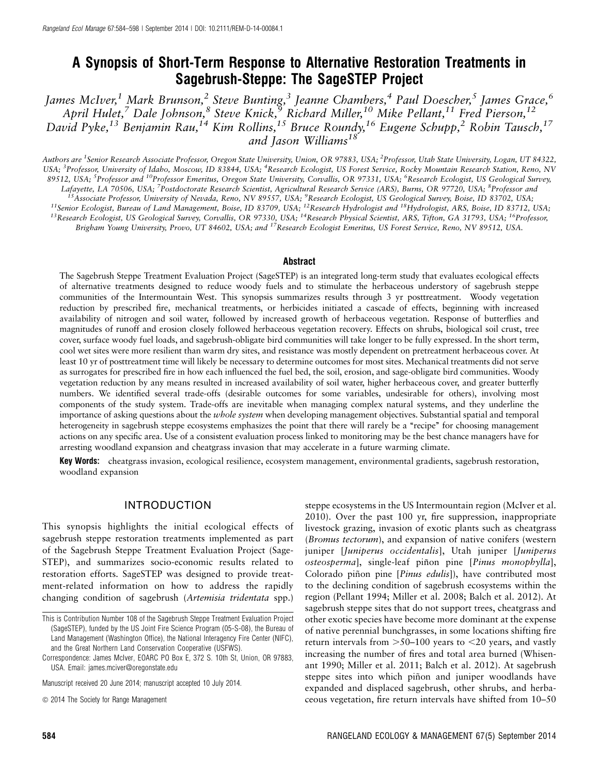# A Synopsis of Short-Term Response to Alternative Restoration Treatments in Sagebrush-Steppe: The SageSTEP Project

James McIver,<sup>1</sup> Mark Brunson,<sup>2</sup> Steve Bunting,<sup>3</sup> Jeanne Chambers,<sup>4</sup> Paul Doescher,<sup>5</sup> James Grace,<sup>6</sup> April Hulet,<sup>7</sup> Dale Johnson,<sup>8</sup> Steve Knick, <sup>9</sup> Richard Miller,<sup>10</sup> Mike Pellant,<sup>11</sup> Fred Pierson,<sup>12</sup> David Pyke,<sup>13</sup> Benjamin Rau,<sup>14</sup> Kim Rollins,<sup>15</sup> Bruce Roundy,<sup>16</sup> Eugene Schupp,<sup>2</sup> Robin Tausch,<sup>17</sup> and Jason Williams<sup>18</sup>

Authors are <sup>1</sup>Senior Research Associate Professor, Oregon State University, Union, OR 97883, USA; <sup>2</sup>Professor, Utah State University, Logan, UT 84322, USA; <sup>3</sup>Professor, University of Idaho, Moscow, ID 83844, USA; <sup>4</sup>Research Ecologist, US Forest Service, Rocky Mountain Research Station, Reno, NV 89512, USA; <sup>5</sup>Professor and <sup>10</sup>Professor Emeritus, Oregon State University, Corvallis, OR 97331, USA; <sup>6</sup>Research Ecologist, US Geological Survey, Lafayette, LA 70506, USA; <sup>7</sup>Postdoctorate Research Scientist, Agricultural Research Service (ARS), Burns, OR 97720, USA; <sup>8</sup> 1fayette, LA 70506, USA; ′Postdoctorate Research Scientist, Agricultural Research Service (ARS), Burns, OR 97720, USA; <sup>8</sup>Professor and<br><sup>15</sup>Associate Professor, University of Nevada, Reno, NV 89557, USA; <sup>9</sup>Research Ecolog <sup>11</sup>Senior Ecologist, Bureau of Land Management, Boise, ID 83709, USA; <sup>12</sup>Research Hydrologist and <sup>18</sup>Hydrologist, ARS, Boise, ID 83712, USA;<br><sup>13</sup>Research Ecologist, US Geological Survey, Corvallis, OR 97330, USA; <sup>14</sup>Re Brigham Young University, Provo, UT 84602, USA; and <sup>17</sup>Research Ecologist Emeritus, US Forest Service, Reno, NV 89512, USA.

#### Abstract

The Sagebrush Steppe Treatment Evaluation Project (SageSTEP) is an integrated long-term study that evaluates ecological effects of alternative treatments designed to reduce woody fuels and to stimulate the herbaceous understory of sagebrush steppe communities of the Intermountain West. This synopsis summarizes results through 3 yr posttreatment. Woody vegetation reduction by prescribed fire, mechanical treatments, or herbicides initiated a cascade of effects, beginning with increased availability of nitrogen and soil water, followed by increased growth of herbaceous vegetation. Response of butterflies and magnitudes of runoff and erosion closely followed herbaceous vegetation recovery. Effects on shrubs, biological soil crust, tree cover, surface woody fuel loads, and sagebrush-obligate bird communities will take longer to be fully expressed. In the short term, cool wet sites were more resilient than warm dry sites, and resistance was mostly dependent on pretreatment herbaceous cover. At least 10 yr of posttreatment time will likely be necessary to determine outcomes for most sites. Mechanical treatments did not serve as surrogates for prescribed fire in how each influenced the fuel bed, the soil, erosion, and sage-obligate bird communities. Woody vegetation reduction by any means resulted in increased availability of soil water, higher herbaceous cover, and greater butterfly numbers. We identified several trade-offs (desirable outcomes for some variables, undesirable for others), involving most components of the study system. Trade-offs are inevitable when managing complex natural systems, and they underline the importance of asking questions about the *whole system* when developing management objectives. Substantial spatial and temporal heterogeneity in sagebrush steppe ecosystems emphasizes the point that there will rarely be a "recipe" for choosing management actions on any specific area. Use of a consistent evaluation process linked to monitoring may be the best chance managers have for arresting woodland expansion and cheatgrass invasion that may accelerate in a future warming climate.

Key Words: cheatgrass invasion, ecological resilience, ecosystem management, environmental gradients, sagebrush restoration, woodland expansion

#### INTRODUCTION

This synopsis highlights the initial ecological effects of sagebrush steppe restoration treatments implemented as part of the Sagebrush Steppe Treatment Evaluation Project (Sage-STEP), and summarizes socio-economic results related to restoration efforts. SageSTEP was designed to provide treatment-related information on how to address the rapidly changing condition of sagebrush (Artemisia tridentata spp.)

2010). Over the past 100 yr, fire suppression, inappropriate livestock grazing, invasion of exotic plants such as cheatgrass (Bromus tectorum), and expansion of native conifers (western juniper [Juniperus occidentalis], Utah juniper [Juniperus osteosperma], single-leaf piñon pine [Pinus monophylla], Colorado piñon pine [Pinus edulis]), have contributed most to the declining condition of sagebrush ecosystems within the region (Pellant 1994; Miller et al. 2008; Balch et al. 2012). At sagebrush steppe sites that do not support trees, cheatgrass and other exotic species have become more dominant at the expense of native perennial bunchgrasses, in some locations shifting fire return intervals from  $>50-100$  years to  $<$ 20 years, and vastly increasing the number of fires and total area burned (Whisenant 1990; Miller et al. 2011; Balch et al. 2012). At sagebrush steppe sites into which piñon and juniper woodlands have expanded and displaced sagebrush, other shrubs, and herbaceous vegetation, fire return intervals have shifted from 10–50

steppe ecosystems in the US Intermountain region (McIver et al.

This is Contribution Number 108 of the Sagebrush Steppe Treatment Evaluation Project (SageSTEP), funded by the US Joint Fire Science Program (05-S-08), the Bureau of Land Management (Washington Office), the National Interagency Fire Center (NIFC), and the Great Northern Land Conservation Cooperative (USFWS).

Correspondence: James McIver, EOARC PO Box E, 372 S. 10th St, Union, OR 97883, USA. Email: james.mciver@oregonstate.edu

Manuscript received 20 June 2014; manuscript accepted 10 July 2014.

 $\odot$  2014 The Society for Range Management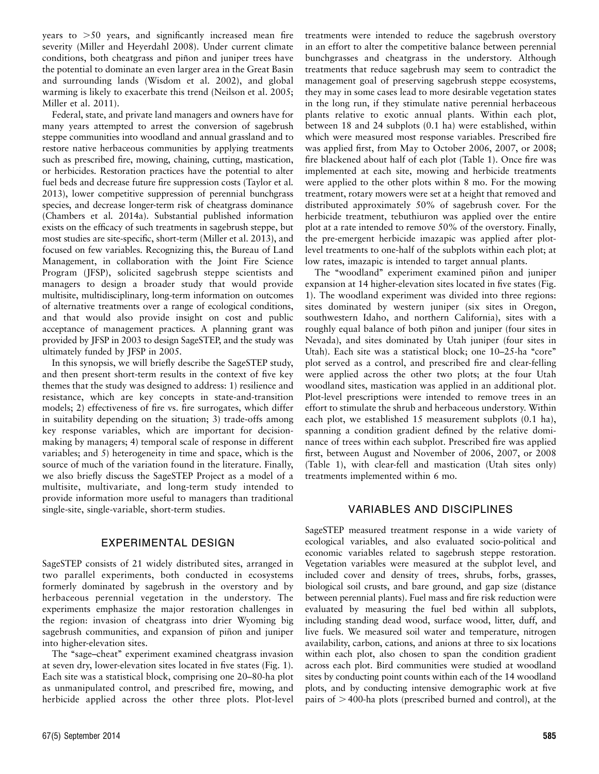years to  $>50$  years, and significantly increased mean fire severity (Miller and Heyerdahl 2008). Under current climate conditions, both cheatgrass and piñon and juniper trees have the potential to dominate an even larger area in the Great Basin and surrounding lands (Wisdom et al. 2002), and global warming is likely to exacerbate this trend (Neilson et al. 2005; Miller et al. 2011).

Federal, state, and private land managers and owners have for many years attempted to arrest the conversion of sagebrush steppe communities into woodland and annual grassland and to restore native herbaceous communities by applying treatments such as prescribed fire, mowing, chaining, cutting, mastication, or herbicides. Restoration practices have the potential to alter fuel beds and decrease future fire suppression costs (Taylor et al. 2013), lower competitive suppression of perennial bunchgrass species, and decrease longer-term risk of cheatgrass dominance (Chambers et al. 2014a). Substantial published information exists on the efficacy of such treatments in sagebrush steppe, but most studies are site-specific, short-term (Miller et al. 2013), and focused on few variables. Recognizing this, the Bureau of Land Management, in collaboration with the Joint Fire Science Program (JFSP), solicited sagebrush steppe scientists and managers to design a broader study that would provide multisite, multidisciplinary, long-term information on outcomes of alternative treatments over a range of ecological conditions, and that would also provide insight on cost and public acceptance of management practices. A planning grant was provided by JFSP in 2003 to design SageSTEP, and the study was ultimately funded by JFSP in 2005.

In this synopsis, we will briefly describe the SageSTEP study, and then present short-term results in the context of five key themes that the study was designed to address: 1) resilience and resistance, which are key concepts in state-and-transition models; 2) effectiveness of fire vs. fire surrogates, which differ in suitability depending on the situation; 3) trade-offs among key response variables, which are important for decisionmaking by managers; 4) temporal scale of response in different variables; and 5) heterogeneity in time and space, which is the source of much of the variation found in the literature. Finally, we also briefly discuss the SageSTEP Project as a model of a multisite, multivariate, and long-term study intended to provide information more useful to managers than traditional single-site, single-variable, short-term studies.

# EXPERIMENTAL DESIGN

SageSTEP consists of 21 widely distributed sites, arranged in two parallel experiments, both conducted in ecosystems formerly dominated by sagebrush in the overstory and by herbaceous perennial vegetation in the understory. The experiments emphasize the major restoration challenges in the region: invasion of cheatgrass into drier Wyoming big sagebrush communities, and expansion of piñon and juniper into higher-elevation sites.

The "sage-cheat" experiment examined cheatgrass invasion at seven dry, lower-elevation sites located in five states (Fig. 1). Each site was a statistical block, comprising one 20–80-ha plot as unmanipulated control, and prescribed fire, mowing, and herbicide applied across the other three plots. Plot-level treatments were intended to reduce the sagebrush overstory in an effort to alter the competitive balance between perennial bunchgrasses and cheatgrass in the understory. Although treatments that reduce sagebrush may seem to contradict the management goal of preserving sagebrush steppe ecosystems, they may in some cases lead to more desirable vegetation states in the long run, if they stimulate native perennial herbaceous plants relative to exotic annual plants. Within each plot, between 18 and 24 subplots (0.1 ha) were established, within which were measured most response variables. Prescribed fire was applied first, from May to October 2006, 2007, or 2008; fire blackened about half of each plot (Table 1). Once fire was implemented at each site, mowing and herbicide treatments were applied to the other plots within 8 mo. For the mowing treatment, rotary mowers were set at a height that removed and distributed approximately 50% of sagebrush cover. For the herbicide treatment, tebuthiuron was applied over the entire plot at a rate intended to remove 50% of the overstory. Finally, the pre-emergent herbicide imazapic was applied after plotlevel treatments to one-half of the subplots within each plot; at low rates, imazapic is intended to target annual plants.

The "woodland" experiment examined piñon and juniper expansion at 14 higher-elevation sites located in five states (Fig. 1). The woodland experiment was divided into three regions: sites dominated by western juniper (six sites in Oregon, southwestern Idaho, and northern California), sites with a roughly equal balance of both pinon and juniper (four sites in Nevada), and sites dominated by Utah juniper (four sites in Utah). Each site was a statistical block; one 10-25-ha "core" plot served as a control, and prescribed fire and clear-felling were applied across the other two plots; at the four Utah woodland sites, mastication was applied in an additional plot. Plot-level prescriptions were intended to remove trees in an effort to stimulate the shrub and herbaceous understory. Within each plot, we established 15 measurement subplots (0.1 ha), spanning a condition gradient defined by the relative dominance of trees within each subplot. Prescribed fire was applied first, between August and November of 2006, 2007, or 2008 (Table 1), with clear-fell and mastication (Utah sites only) treatments implemented within 6 mo.

### VARIABLES AND DISCIPLINES

SageSTEP measured treatment response in a wide variety of ecological variables, and also evaluated socio-political and economic variables related to sagebrush steppe restoration. Vegetation variables were measured at the subplot level, and included cover and density of trees, shrubs, forbs, grasses, biological soil crusts, and bare ground, and gap size (distance between perennial plants). Fuel mass and fire risk reduction were evaluated by measuring the fuel bed within all subplots, including standing dead wood, surface wood, litter, duff, and live fuels. We measured soil water and temperature, nitrogen availability, carbon, cations, and anions at three to six locations within each plot, also chosen to span the condition gradient across each plot. Bird communities were studied at woodland sites by conducting point counts within each of the 14 woodland plots, and by conducting intensive demographic work at five pairs of  $>$  400-ha plots (prescribed burned and control), at the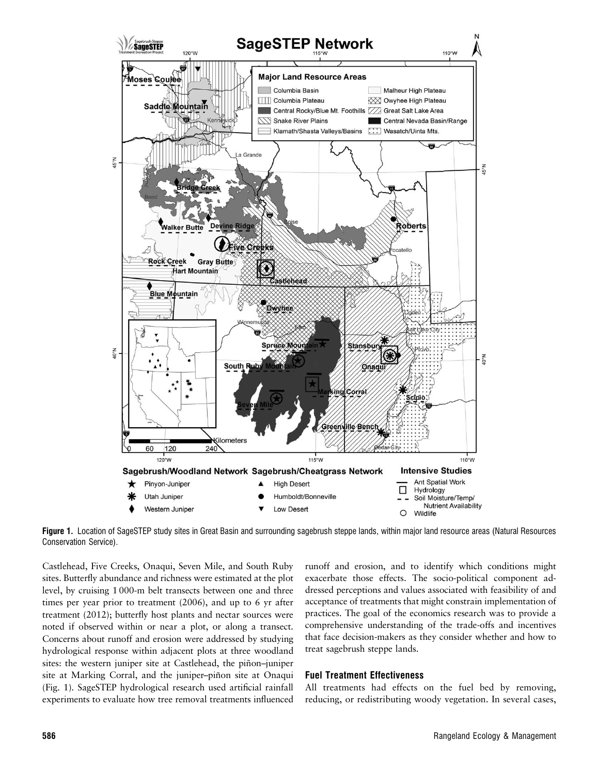

Figure 1. Location of SageSTEP study sites in Great Basin and surrounding sagebrush steppe lands, within major land resource areas (Natural Resources Conservation Service).

Castlehead, Five Creeks, Onaqui, Seven Mile, and South Ruby sites. Butterfly abundance and richness were estimated at the plot level, by cruising 1 000-m belt transects between one and three times per year prior to treatment (2006), and up to 6 yr after treatment (2012); butterfly host plants and nectar sources were noted if observed within or near a plot, or along a transect. Concerns about runoff and erosion were addressed by studying hydrological response within adjacent plots at three woodland sites: the western juniper site at Castlehead, the piñon-juniper site at Marking Corral, and the juniper-piñon site at Onaqui (Fig. 1). SageSTEP hydrological research used artificial rainfall experiments to evaluate how tree removal treatments influenced runoff and erosion, and to identify which conditions might exacerbate those effects. The socio-political component addressed perceptions and values associated with feasibility of and acceptance of treatments that might constrain implementation of practices. The goal of the economics research was to provide a comprehensive understanding of the trade-offs and incentives that face decision-makers as they consider whether and how to treat sagebrush steppe lands.

#### Fuel Treatment Effectiveness

All treatments had effects on the fuel bed by removing, reducing, or redistributing woody vegetation. In several cases,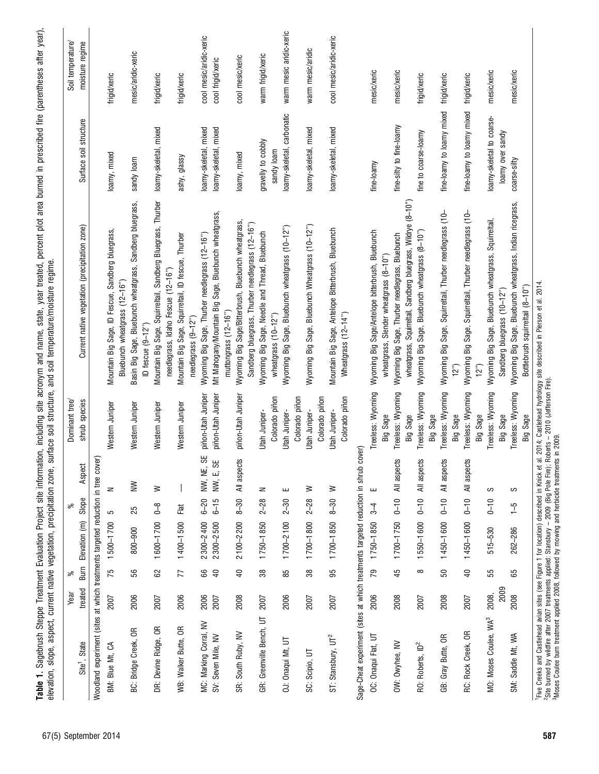| loamy-skeletal, carbonatic<br>fine-silty to fine-loamy<br>loamy-skeletal, mixed<br>loamy-skeletal, mixed<br>loamy-skeletal, mixed<br>loamy-skeletal, mixed<br>loamy-skeletal, mixed<br>fine to coarse-loamy<br>loamy over sandy<br>gravelly to cobbly<br>sandy loam<br>loamy, mixed<br>loamy, mixed<br>ashy, glassy<br>sandy loam<br>coarse-silty<br>fine-loamy<br>Mountain Big Sage, Squirreltail, Sandberg Bluegrass, Thurber<br>$(8 - 1011)$<br>Basin Big Sage, Bluebunch wheatgrass, Sandberg bluegrass,<br>Wyoming Big Sage, Bluebunch wheatgrass, Indian ricegrass,<br>Wyoming Big Sage, Squirreltail, Thurber needlegrass (10-<br>Wyoming Big Sage, Squirreltail, Thurber needlegrass (10-<br>Mt Mahogany/Mountain Big Sage, Bluebunch wheatgrass,<br>Wyoming Big Sage, Bluebunch wheatgrass, Squirreltail,<br>Wyoming Big Sage/Bitterbrush, Bluebunch wheatgrass,<br>wheatgrass, Squirreltail, Sandberg bluegrass, Wildrye<br>Sandberg bluegrass, Thurber needlegrass (12-16")<br>Current native vegetation (precipitation zone)<br>Wyoming Big Sage, Bluebunch Wheatgrass (10-12")<br>Wyoming Big Sage, Bluebunch wheatgrass (10-12")<br>Mountain Big Sage, Antelope Bitterbrush, Bluebunch<br>Mountain Big Sage, ID Fescue, Sandberg bluegrass,<br>Wyoming Big Sage, Bluebunch wheatgrass (8-10")<br>Wyoming Big Sage/Antelope bitterbrush, Bluebunch<br>Wyoming Big Sage, Needle and Thread, Bluebunch<br>Wyoming Big Sage, Thurber needlegrass, Bluebunch<br>Mountain Big Sage, Squirreltail, ID fescue, Thurber<br>Wyoming Big Sage, Thurber needlegrass (12-16")<br>wheatgrass, Slender wheatgrass (8-10")<br>needlegrass, Idaho Fescue (12-16")<br>Bluebunch wheatgrass (12-16")<br>Sandberg bluegrass (10-12")<br>muttongrass (12-16"<br>Wheatgrass (12-14")<br>wheatgrass $(10-12")$<br>needlegrass (9-12")<br>$D$ fescue $(9-12)$<br>12"<br>$\widetilde{\mathsf{P}}$<br>Treeless: Wyoming<br>Treeless: Wyoming<br>Treeless: Wyoming<br>Treeless: Wyoming<br>Treeless: Wyoming<br>Treeless: Wyoming<br>Treeless: Wyoming<br>piñon-Utah Juniper<br>piñon-Utah Juniper<br>piñon-Utah Juniper<br>Colorado piñon<br>Colorado piñon<br>Colorado piñon<br>Colorado piñon<br>shrub species<br>Western Juniper<br>Western Juniper<br>Western Juniper<br>Western Juniper<br>Utah Juniper-<br>Utah Juniper-<br><b>Utah Juniper-</b><br>Utah Juniper-<br>Big Sage<br>Big Sage<br>Big Sage<br>Big Sage<br><b>Big Sage</b><br>Big Sage<br>:over)<br>55<br>Woodland experiment (sites at which treatments targeted reduction in tree cover)<br>All aspects<br>All aspects<br>All aspects<br>All aspects<br>All aspects<br>NW, E, SE<br>Sage-Cheat experiment (sites at which treatments targeted reduction in shrub c<br>Aspect<br>NW, NE,<br>$\geq$<br>≥<br>≥<br>≥<br>$\geq$<br>z<br>ш<br>ш<br>ပ<br>S<br>Slope<br>$0 - 10$<br>$0-10$<br>$0 - 10$<br>$6-15$<br>$8 - 30$<br>$0 - 10$<br>$6-20$<br>$0 - 10$<br><b>9-30</b><br>$2 - 28$<br>$2-30$<br>$2 - 28$<br>ں<br>ح<br>$^{1-5}$<br>$\frac{3}{4}$<br>횭<br>25<br>5<br>1450-1600<br>Elevation (m)<br>1500-1700<br>1400-1500<br>2300-2400<br>2300-2500<br>$1700 - 2100$<br>1700-1800<br>1700-1850<br>1700-1750<br>1550-1600<br>1450-1600<br>1600-1700<br>2100-2200<br>1750-1850<br>1750-1850<br>800-900<br>515-530<br>262-286<br>Burn<br>75<br>54<br>45<br>$\infty$<br>$\overline{4}$<br>56<br>8<br>8<br>$\overline{a}$<br>$\overline{a}$<br>38<br>85<br>38<br>95<br>50<br>55<br>65<br>77<br>2009<br>treated<br>2008,<br>2008<br>2006<br>2006<br>2006<br>2006<br>2006<br>2008<br>2008<br>2008<br>2007<br>2007<br>2007<br>2007<br>2007<br>2007<br>2007<br>2007<br>GR: Greenville Bench, UT<br>MO: Moses Coulee, WA <sup>3</sup><br>MC: Marking Corral, NV<br>WB: Walker Butte, OR<br>DR: Devine Ridge, OR<br>BC: Bridge Creek, OR<br>SR: South Ruby, NV<br>RC: Rock Creek, OR<br>SM: Saddle Mt, WA<br>OC: Onaqui Flat, UT<br>SV: Seven Mile, NV<br>GB: Gray Butte, OR<br>ST: Stansbury, UT <sup>2</sup><br>OJ: Onaqui Mt, UT<br>OW: Owyhee, NV<br>State<br>BM: Blue Mt, CA<br>RO: Roberts, ID <sup>2</sup><br>SC: Scipio, UT<br>Site <sup>1</sup> | moisture regime<br>Surface soil structure |
|--------------------------------------------------------------------------------------------------------------------------------------------------------------------------------------------------------------------------------------------------------------------------------------------------------------------------------------------------------------------------------------------------------------------------------------------------------------------------------------------------------------------------------------------------------------------------------------------------------------------------------------------------------------------------------------------------------------------------------------------------------------------------------------------------------------------------------------------------------------------------------------------------------------------------------------------------------------------------------------------------------------------------------------------------------------------------------------------------------------------------------------------------------------------------------------------------------------------------------------------------------------------------------------------------------------------------------------------------------------------------------------------------------------------------------------------------------------------------------------------------------------------------------------------------------------------------------------------------------------------------------------------------------------------------------------------------------------------------------------------------------------------------------------------------------------------------------------------------------------------------------------------------------------------------------------------------------------------------------------------------------------------------------------------------------------------------------------------------------------------------------------------------------------------------------------------------------------------------------------------------------------------------------------------------------------------------------------------------------------------------------------------------------------------------------------------------------------------------------------------------------------------------------------------------------------------------------------------------------------------------------------------------------------------------------------------------------------------------------------------------------------------------------------------------------------------------------------------------------------------------------------------------------------------------------------------------------------------------------------------------------------------------------------------------------------------------------------------------------------------------------------------------------------------------------------------------------------------------------------------------------------------------------------------------------------------------------------------------------------------------------------------------------------------------------------------------------------------------------------------------------------------------------------------------------------------------------------------------------------------------------------------------------------------------------------------------------------------------------------------------------------------------------------------------------------------------------------------------------------------------------------------------------------------------------------------------------------------------------------------------------------------------------------------------------------------------------------------------|-------------------------------------------|
|                                                                                                                                                                                                                                                                                                                                                                                                                                                                                                                                                                                                                                                                                                                                                                                                                                                                                                                                                                                                                                                                                                                                                                                                                                                                                                                                                                                                                                                                                                                                                                                                                                                                                                                                                                                                                                                                                                                                                                                                                                                                                                                                                                                                                                                                                                                                                                                                                                                                                                                                                                                                                                                                                                                                                                                                                                                                                                                                                                                                                                                                                                                                                                                                                                                                                                                                                                                                                                                                                                                                                                                                                                                                                                                                                                                                                                                                                                                                                                                                                                                                                                  |                                           |
|                                                                                                                                                                                                                                                                                                                                                                                                                                                                                                                                                                                                                                                                                                                                                                                                                                                                                                                                                                                                                                                                                                                                                                                                                                                                                                                                                                                                                                                                                                                                                                                                                                                                                                                                                                                                                                                                                                                                                                                                                                                                                                                                                                                                                                                                                                                                                                                                                                                                                                                                                                                                                                                                                                                                                                                                                                                                                                                                                                                                                                                                                                                                                                                                                                                                                                                                                                                                                                                                                                                                                                                                                                                                                                                                                                                                                                                                                                                                                                                                                                                                                                  |                                           |
|                                                                                                                                                                                                                                                                                                                                                                                                                                                                                                                                                                                                                                                                                                                                                                                                                                                                                                                                                                                                                                                                                                                                                                                                                                                                                                                                                                                                                                                                                                                                                                                                                                                                                                                                                                                                                                                                                                                                                                                                                                                                                                                                                                                                                                                                                                                                                                                                                                                                                                                                                                                                                                                                                                                                                                                                                                                                                                                                                                                                                                                                                                                                                                                                                                                                                                                                                                                                                                                                                                                                                                                                                                                                                                                                                                                                                                                                                                                                                                                                                                                                                                  | frigid/xeric                              |
|                                                                                                                                                                                                                                                                                                                                                                                                                                                                                                                                                                                                                                                                                                                                                                                                                                                                                                                                                                                                                                                                                                                                                                                                                                                                                                                                                                                                                                                                                                                                                                                                                                                                                                                                                                                                                                                                                                                                                                                                                                                                                                                                                                                                                                                                                                                                                                                                                                                                                                                                                                                                                                                                                                                                                                                                                                                                                                                                                                                                                                                                                                                                                                                                                                                                                                                                                                                                                                                                                                                                                                                                                                                                                                                                                                                                                                                                                                                                                                                                                                                                                                  |                                           |
|                                                                                                                                                                                                                                                                                                                                                                                                                                                                                                                                                                                                                                                                                                                                                                                                                                                                                                                                                                                                                                                                                                                                                                                                                                                                                                                                                                                                                                                                                                                                                                                                                                                                                                                                                                                                                                                                                                                                                                                                                                                                                                                                                                                                                                                                                                                                                                                                                                                                                                                                                                                                                                                                                                                                                                                                                                                                                                                                                                                                                                                                                                                                                                                                                                                                                                                                                                                                                                                                                                                                                                                                                                                                                                                                                                                                                                                                                                                                                                                                                                                                                                  | mesic/aridic-xeric                        |
|                                                                                                                                                                                                                                                                                                                                                                                                                                                                                                                                                                                                                                                                                                                                                                                                                                                                                                                                                                                                                                                                                                                                                                                                                                                                                                                                                                                                                                                                                                                                                                                                                                                                                                                                                                                                                                                                                                                                                                                                                                                                                                                                                                                                                                                                                                                                                                                                                                                                                                                                                                                                                                                                                                                                                                                                                                                                                                                                                                                                                                                                                                                                                                                                                                                                                                                                                                                                                                                                                                                                                                                                                                                                                                                                                                                                                                                                                                                                                                                                                                                                                                  | frigid/xeric                              |
|                                                                                                                                                                                                                                                                                                                                                                                                                                                                                                                                                                                                                                                                                                                                                                                                                                                                                                                                                                                                                                                                                                                                                                                                                                                                                                                                                                                                                                                                                                                                                                                                                                                                                                                                                                                                                                                                                                                                                                                                                                                                                                                                                                                                                                                                                                                                                                                                                                                                                                                                                                                                                                                                                                                                                                                                                                                                                                                                                                                                                                                                                                                                                                                                                                                                                                                                                                                                                                                                                                                                                                                                                                                                                                                                                                                                                                                                                                                                                                                                                                                                                                  |                                           |
|                                                                                                                                                                                                                                                                                                                                                                                                                                                                                                                                                                                                                                                                                                                                                                                                                                                                                                                                                                                                                                                                                                                                                                                                                                                                                                                                                                                                                                                                                                                                                                                                                                                                                                                                                                                                                                                                                                                                                                                                                                                                                                                                                                                                                                                                                                                                                                                                                                                                                                                                                                                                                                                                                                                                                                                                                                                                                                                                                                                                                                                                                                                                                                                                                                                                                                                                                                                                                                                                                                                                                                                                                                                                                                                                                                                                                                                                                                                                                                                                                                                                                                  | frigid/xeric                              |
|                                                                                                                                                                                                                                                                                                                                                                                                                                                                                                                                                                                                                                                                                                                                                                                                                                                                                                                                                                                                                                                                                                                                                                                                                                                                                                                                                                                                                                                                                                                                                                                                                                                                                                                                                                                                                                                                                                                                                                                                                                                                                                                                                                                                                                                                                                                                                                                                                                                                                                                                                                                                                                                                                                                                                                                                                                                                                                                                                                                                                                                                                                                                                                                                                                                                                                                                                                                                                                                                                                                                                                                                                                                                                                                                                                                                                                                                                                                                                                                                                                                                                                  |                                           |
|                                                                                                                                                                                                                                                                                                                                                                                                                                                                                                                                                                                                                                                                                                                                                                                                                                                                                                                                                                                                                                                                                                                                                                                                                                                                                                                                                                                                                                                                                                                                                                                                                                                                                                                                                                                                                                                                                                                                                                                                                                                                                                                                                                                                                                                                                                                                                                                                                                                                                                                                                                                                                                                                                                                                                                                                                                                                                                                                                                                                                                                                                                                                                                                                                                                                                                                                                                                                                                                                                                                                                                                                                                                                                                                                                                                                                                                                                                                                                                                                                                                                                                  | cool mesic/aridic-xeric                   |
|                                                                                                                                                                                                                                                                                                                                                                                                                                                                                                                                                                                                                                                                                                                                                                                                                                                                                                                                                                                                                                                                                                                                                                                                                                                                                                                                                                                                                                                                                                                                                                                                                                                                                                                                                                                                                                                                                                                                                                                                                                                                                                                                                                                                                                                                                                                                                                                                                                                                                                                                                                                                                                                                                                                                                                                                                                                                                                                                                                                                                                                                                                                                                                                                                                                                                                                                                                                                                                                                                                                                                                                                                                                                                                                                                                                                                                                                                                                                                                                                                                                                                                  | cool frigid/xeric                         |
|                                                                                                                                                                                                                                                                                                                                                                                                                                                                                                                                                                                                                                                                                                                                                                                                                                                                                                                                                                                                                                                                                                                                                                                                                                                                                                                                                                                                                                                                                                                                                                                                                                                                                                                                                                                                                                                                                                                                                                                                                                                                                                                                                                                                                                                                                                                                                                                                                                                                                                                                                                                                                                                                                                                                                                                                                                                                                                                                                                                                                                                                                                                                                                                                                                                                                                                                                                                                                                                                                                                                                                                                                                                                                                                                                                                                                                                                                                                                                                                                                                                                                                  |                                           |
|                                                                                                                                                                                                                                                                                                                                                                                                                                                                                                                                                                                                                                                                                                                                                                                                                                                                                                                                                                                                                                                                                                                                                                                                                                                                                                                                                                                                                                                                                                                                                                                                                                                                                                                                                                                                                                                                                                                                                                                                                                                                                                                                                                                                                                                                                                                                                                                                                                                                                                                                                                                                                                                                                                                                                                                                                                                                                                                                                                                                                                                                                                                                                                                                                                                                                                                                                                                                                                                                                                                                                                                                                                                                                                                                                                                                                                                                                                                                                                                                                                                                                                  | cool mesic/xeric                          |
|                                                                                                                                                                                                                                                                                                                                                                                                                                                                                                                                                                                                                                                                                                                                                                                                                                                                                                                                                                                                                                                                                                                                                                                                                                                                                                                                                                                                                                                                                                                                                                                                                                                                                                                                                                                                                                                                                                                                                                                                                                                                                                                                                                                                                                                                                                                                                                                                                                                                                                                                                                                                                                                                                                                                                                                                                                                                                                                                                                                                                                                                                                                                                                                                                                                                                                                                                                                                                                                                                                                                                                                                                                                                                                                                                                                                                                                                                                                                                                                                                                                                                                  |                                           |
|                                                                                                                                                                                                                                                                                                                                                                                                                                                                                                                                                                                                                                                                                                                                                                                                                                                                                                                                                                                                                                                                                                                                                                                                                                                                                                                                                                                                                                                                                                                                                                                                                                                                                                                                                                                                                                                                                                                                                                                                                                                                                                                                                                                                                                                                                                                                                                                                                                                                                                                                                                                                                                                                                                                                                                                                                                                                                                                                                                                                                                                                                                                                                                                                                                                                                                                                                                                                                                                                                                                                                                                                                                                                                                                                                                                                                                                                                                                                                                                                                                                                                                  | warm frigid/xeric                         |
|                                                                                                                                                                                                                                                                                                                                                                                                                                                                                                                                                                                                                                                                                                                                                                                                                                                                                                                                                                                                                                                                                                                                                                                                                                                                                                                                                                                                                                                                                                                                                                                                                                                                                                                                                                                                                                                                                                                                                                                                                                                                                                                                                                                                                                                                                                                                                                                                                                                                                                                                                                                                                                                                                                                                                                                                                                                                                                                                                                                                                                                                                                                                                                                                                                                                                                                                                                                                                                                                                                                                                                                                                                                                                                                                                                                                                                                                                                                                                                                                                                                                                                  | warm mesic aridic-xeric                   |
|                                                                                                                                                                                                                                                                                                                                                                                                                                                                                                                                                                                                                                                                                                                                                                                                                                                                                                                                                                                                                                                                                                                                                                                                                                                                                                                                                                                                                                                                                                                                                                                                                                                                                                                                                                                                                                                                                                                                                                                                                                                                                                                                                                                                                                                                                                                                                                                                                                                                                                                                                                                                                                                                                                                                                                                                                                                                                                                                                                                                                                                                                                                                                                                                                                                                                                                                                                                                                                                                                                                                                                                                                                                                                                                                                                                                                                                                                                                                                                                                                                                                                                  |                                           |
|                                                                                                                                                                                                                                                                                                                                                                                                                                                                                                                                                                                                                                                                                                                                                                                                                                                                                                                                                                                                                                                                                                                                                                                                                                                                                                                                                                                                                                                                                                                                                                                                                                                                                                                                                                                                                                                                                                                                                                                                                                                                                                                                                                                                                                                                                                                                                                                                                                                                                                                                                                                                                                                                                                                                                                                                                                                                                                                                                                                                                                                                                                                                                                                                                                                                                                                                                                                                                                                                                                                                                                                                                                                                                                                                                                                                                                                                                                                                                                                                                                                                                                  | warm mesic/aridic                         |
|                                                                                                                                                                                                                                                                                                                                                                                                                                                                                                                                                                                                                                                                                                                                                                                                                                                                                                                                                                                                                                                                                                                                                                                                                                                                                                                                                                                                                                                                                                                                                                                                                                                                                                                                                                                                                                                                                                                                                                                                                                                                                                                                                                                                                                                                                                                                                                                                                                                                                                                                                                                                                                                                                                                                                                                                                                                                                                                                                                                                                                                                                                                                                                                                                                                                                                                                                                                                                                                                                                                                                                                                                                                                                                                                                                                                                                                                                                                                                                                                                                                                                                  | cool mesic/aridic-xeric                   |
|                                                                                                                                                                                                                                                                                                                                                                                                                                                                                                                                                                                                                                                                                                                                                                                                                                                                                                                                                                                                                                                                                                                                                                                                                                                                                                                                                                                                                                                                                                                                                                                                                                                                                                                                                                                                                                                                                                                                                                                                                                                                                                                                                                                                                                                                                                                                                                                                                                                                                                                                                                                                                                                                                                                                                                                                                                                                                                                                                                                                                                                                                                                                                                                                                                                                                                                                                                                                                                                                                                                                                                                                                                                                                                                                                                                                                                                                                                                                                                                                                                                                                                  |                                           |
|                                                                                                                                                                                                                                                                                                                                                                                                                                                                                                                                                                                                                                                                                                                                                                                                                                                                                                                                                                                                                                                                                                                                                                                                                                                                                                                                                                                                                                                                                                                                                                                                                                                                                                                                                                                                                                                                                                                                                                                                                                                                                                                                                                                                                                                                                                                                                                                                                                                                                                                                                                                                                                                                                                                                                                                                                                                                                                                                                                                                                                                                                                                                                                                                                                                                                                                                                                                                                                                                                                                                                                                                                                                                                                                                                                                                                                                                                                                                                                                                                                                                                                  |                                           |
|                                                                                                                                                                                                                                                                                                                                                                                                                                                                                                                                                                                                                                                                                                                                                                                                                                                                                                                                                                                                                                                                                                                                                                                                                                                                                                                                                                                                                                                                                                                                                                                                                                                                                                                                                                                                                                                                                                                                                                                                                                                                                                                                                                                                                                                                                                                                                                                                                                                                                                                                                                                                                                                                                                                                                                                                                                                                                                                                                                                                                                                                                                                                                                                                                                                                                                                                                                                                                                                                                                                                                                                                                                                                                                                                                                                                                                                                                                                                                                                                                                                                                                  | mesic/xeric                               |
|                                                                                                                                                                                                                                                                                                                                                                                                                                                                                                                                                                                                                                                                                                                                                                                                                                                                                                                                                                                                                                                                                                                                                                                                                                                                                                                                                                                                                                                                                                                                                                                                                                                                                                                                                                                                                                                                                                                                                                                                                                                                                                                                                                                                                                                                                                                                                                                                                                                                                                                                                                                                                                                                                                                                                                                                                                                                                                                                                                                                                                                                                                                                                                                                                                                                                                                                                                                                                                                                                                                                                                                                                                                                                                                                                                                                                                                                                                                                                                                                                                                                                                  |                                           |
|                                                                                                                                                                                                                                                                                                                                                                                                                                                                                                                                                                                                                                                                                                                                                                                                                                                                                                                                                                                                                                                                                                                                                                                                                                                                                                                                                                                                                                                                                                                                                                                                                                                                                                                                                                                                                                                                                                                                                                                                                                                                                                                                                                                                                                                                                                                                                                                                                                                                                                                                                                                                                                                                                                                                                                                                                                                                                                                                                                                                                                                                                                                                                                                                                                                                                                                                                                                                                                                                                                                                                                                                                                                                                                                                                                                                                                                                                                                                                                                                                                                                                                  | mesic/xeric                               |
|                                                                                                                                                                                                                                                                                                                                                                                                                                                                                                                                                                                                                                                                                                                                                                                                                                                                                                                                                                                                                                                                                                                                                                                                                                                                                                                                                                                                                                                                                                                                                                                                                                                                                                                                                                                                                                                                                                                                                                                                                                                                                                                                                                                                                                                                                                                                                                                                                                                                                                                                                                                                                                                                                                                                                                                                                                                                                                                                                                                                                                                                                                                                                                                                                                                                                                                                                                                                                                                                                                                                                                                                                                                                                                                                                                                                                                                                                                                                                                                                                                                                                                  |                                           |
|                                                                                                                                                                                                                                                                                                                                                                                                                                                                                                                                                                                                                                                                                                                                                                                                                                                                                                                                                                                                                                                                                                                                                                                                                                                                                                                                                                                                                                                                                                                                                                                                                                                                                                                                                                                                                                                                                                                                                                                                                                                                                                                                                                                                                                                                                                                                                                                                                                                                                                                                                                                                                                                                                                                                                                                                                                                                                                                                                                                                                                                                                                                                                                                                                                                                                                                                                                                                                                                                                                                                                                                                                                                                                                                                                                                                                                                                                                                                                                                                                                                                                                  | frigid/xeric                              |
|                                                                                                                                                                                                                                                                                                                                                                                                                                                                                                                                                                                                                                                                                                                                                                                                                                                                                                                                                                                                                                                                                                                                                                                                                                                                                                                                                                                                                                                                                                                                                                                                                                                                                                                                                                                                                                                                                                                                                                                                                                                                                                                                                                                                                                                                                                                                                                                                                                                                                                                                                                                                                                                                                                                                                                                                                                                                                                                                                                                                                                                                                                                                                                                                                                                                                                                                                                                                                                                                                                                                                                                                                                                                                                                                                                                                                                                                                                                                                                                                                                                                                                  | frigid/xeric<br>fine-loamy to loamy mixed |
|                                                                                                                                                                                                                                                                                                                                                                                                                                                                                                                                                                                                                                                                                                                                                                                                                                                                                                                                                                                                                                                                                                                                                                                                                                                                                                                                                                                                                                                                                                                                                                                                                                                                                                                                                                                                                                                                                                                                                                                                                                                                                                                                                                                                                                                                                                                                                                                                                                                                                                                                                                                                                                                                                                                                                                                                                                                                                                                                                                                                                                                                                                                                                                                                                                                                                                                                                                                                                                                                                                                                                                                                                                                                                                                                                                                                                                                                                                                                                                                                                                                                                                  |                                           |
|                                                                                                                                                                                                                                                                                                                                                                                                                                                                                                                                                                                                                                                                                                                                                                                                                                                                                                                                                                                                                                                                                                                                                                                                                                                                                                                                                                                                                                                                                                                                                                                                                                                                                                                                                                                                                                                                                                                                                                                                                                                                                                                                                                                                                                                                                                                                                                                                                                                                                                                                                                                                                                                                                                                                                                                                                                                                                                                                                                                                                                                                                                                                                                                                                                                                                                                                                                                                                                                                                                                                                                                                                                                                                                                                                                                                                                                                                                                                                                                                                                                                                                  | frigid/xeric<br>fine-loamy to loamy mixed |
|                                                                                                                                                                                                                                                                                                                                                                                                                                                                                                                                                                                                                                                                                                                                                                                                                                                                                                                                                                                                                                                                                                                                                                                                                                                                                                                                                                                                                                                                                                                                                                                                                                                                                                                                                                                                                                                                                                                                                                                                                                                                                                                                                                                                                                                                                                                                                                                                                                                                                                                                                                                                                                                                                                                                                                                                                                                                                                                                                                                                                                                                                                                                                                                                                                                                                                                                                                                                                                                                                                                                                                                                                                                                                                                                                                                                                                                                                                                                                                                                                                                                                                  |                                           |
|                                                                                                                                                                                                                                                                                                                                                                                                                                                                                                                                                                                                                                                                                                                                                                                                                                                                                                                                                                                                                                                                                                                                                                                                                                                                                                                                                                                                                                                                                                                                                                                                                                                                                                                                                                                                                                                                                                                                                                                                                                                                                                                                                                                                                                                                                                                                                                                                                                                                                                                                                                                                                                                                                                                                                                                                                                                                                                                                                                                                                                                                                                                                                                                                                                                                                                                                                                                                                                                                                                                                                                                                                                                                                                                                                                                                                                                                                                                                                                                                                                                                                                  | mesic/xeric<br>loamy-skeletal to coarse-  |
|                                                                                                                                                                                                                                                                                                                                                                                                                                                                                                                                                                                                                                                                                                                                                                                                                                                                                                                                                                                                                                                                                                                                                                                                                                                                                                                                                                                                                                                                                                                                                                                                                                                                                                                                                                                                                                                                                                                                                                                                                                                                                                                                                                                                                                                                                                                                                                                                                                                                                                                                                                                                                                                                                                                                                                                                                                                                                                                                                                                                                                                                                                                                                                                                                                                                                                                                                                                                                                                                                                                                                                                                                                                                                                                                                                                                                                                                                                                                                                                                                                                                                                  |                                           |
|                                                                                                                                                                                                                                                                                                                                                                                                                                                                                                                                                                                                                                                                                                                                                                                                                                                                                                                                                                                                                                                                                                                                                                                                                                                                                                                                                                                                                                                                                                                                                                                                                                                                                                                                                                                                                                                                                                                                                                                                                                                                                                                                                                                                                                                                                                                                                                                                                                                                                                                                                                                                                                                                                                                                                                                                                                                                                                                                                                                                                                                                                                                                                                                                                                                                                                                                                                                                                                                                                                                                                                                                                                                                                                                                                                                                                                                                                                                                                                                                                                                                                                  | mesic/xeric                               |
| Bottlebrush squirreltail (8-10")<br><b>Big Sage</b>                                                                                                                                                                                                                                                                                                                                                                                                                                                                                                                                                                                                                                                                                                                                                                                                                                                                                                                                                                                                                                                                                                                                                                                                                                                                                                                                                                                                                                                                                                                                                                                                                                                                                                                                                                                                                                                                                                                                                                                                                                                                                                                                                                                                                                                                                                                                                                                                                                                                                                                                                                                                                                                                                                                                                                                                                                                                                                                                                                                                                                                                                                                                                                                                                                                                                                                                                                                                                                                                                                                                                                                                                                                                                                                                                                                                                                                                                                                                                                                                                                              |                                           |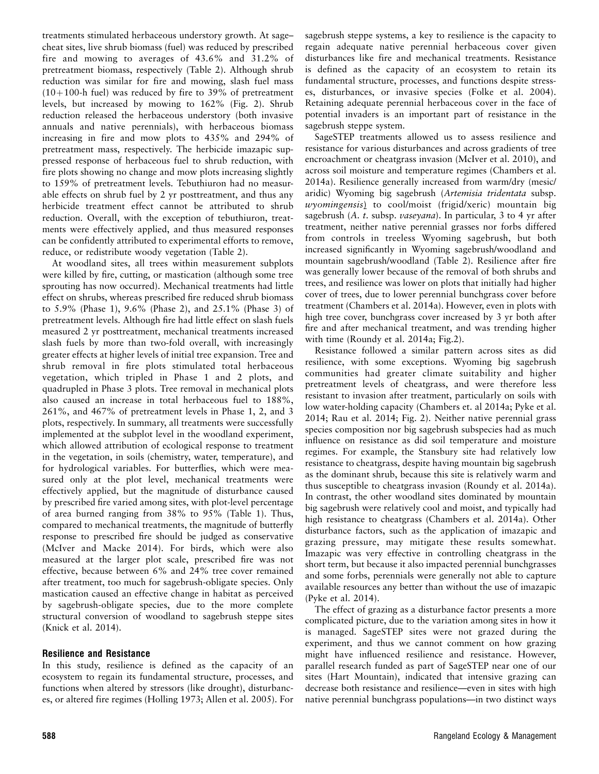treatments stimulated herbaceous understory growth. At sage– cheat sites, live shrub biomass (fuel) was reduced by prescribed fire and mowing to averages of 43.6% and 31.2% of pretreatment biomass, respectively (Table 2). Although shrub reduction was similar for fire and mowing, slash fuel mass  $(10+100-h$  fuel) was reduced by fire to 39% of pretreatment levels, but increased by mowing to 162% (Fig. 2). Shrub reduction released the herbaceous understory (both invasive annuals and native perennials), with herbaceous biomass increasing in fire and mow plots to 435% and 294% of pretreatment mass, respectively. The herbicide imazapic suppressed response of herbaceous fuel to shrub reduction, with fire plots showing no change and mow plots increasing slightly to 159% of pretreatment levels. Tebuthiuron had no measurable effects on shrub fuel by 2 yr posttreatment, and thus any herbicide treatment effect cannot be attributed to shrub reduction. Overall, with the exception of tebuthiuron, treatments were effectively applied, and thus measured responses can be confidently attributed to experimental efforts to remove, reduce, or redistribute woody vegetation (Table 2).

At woodland sites, all trees within measurement subplots were killed by fire, cutting, or mastication (although some tree sprouting has now occurred). Mechanical treatments had little effect on shrubs, whereas prescribed fire reduced shrub biomass to 5.9% (Phase 1), 9.6% (Phase 2), and 25.1% (Phase 3) of pretreatment levels. Although fire had little effect on slash fuels measured 2 yr posttreatment, mechanical treatments increased slash fuels by more than two-fold overall, with increasingly greater effects at higher levels of initial tree expansion. Tree and shrub removal in fire plots stimulated total herbaceous vegetation, which tripled in Phase 1 and 2 plots, and quadrupled in Phase 3 plots. Tree removal in mechanical plots also caused an increase in total herbaceous fuel to 188%, 261%, and 467% of pretreatment levels in Phase 1, 2, and 3 plots, respectively. In summary, all treatments were successfully implemented at the subplot level in the woodland experiment, which allowed attribution of ecological response to treatment in the vegetation, in soils (chemistry, water, temperature), and for hydrological variables. For butterflies, which were measured only at the plot level, mechanical treatments were effectively applied, but the magnitude of disturbance caused by prescribed fire varied among sites, with plot-level percentage of area burned ranging from 38% to 95% (Table 1). Thus, compared to mechanical treatments, the magnitude of butterfly response to prescribed fire should be judged as conservative (McIver and Macke 2014). For birds, which were also measured at the larger plot scale, prescribed fire was not effective, because between 6% and 24% tree cover remained after treatment, too much for sagebrush-obligate species. Only mastication caused an effective change in habitat as perceived by sagebrush-obligate species, due to the more complete structural conversion of woodland to sagebrush steppe sites (Knick et al. 2014).

### Resilience and Resistance

In this study, resilience is defined as the capacity of an ecosystem to regain its fundamental structure, processes, and functions when altered by stressors (like drought), disturbances, or altered fire regimes (Holling 1973; Allen et al. 2005). For sagebrush steppe systems, a key to resilience is the capacity to regain adequate native perennial herbaceous cover given disturbances like fire and mechanical treatments. Resistance is defined as the capacity of an ecosystem to retain its fundamental structure, processes, and functions despite stresses, disturbances, or invasive species (Folke et al. 2004). Retaining adequate perennial herbaceous cover in the face of potential invaders is an important part of resistance in the sagebrush steppe system.

SageSTEP treatments allowed us to assess resilience and resistance for various disturbances and across gradients of tree encroachment or cheatgrass invasion (McIver et al. 2010), and across soil moisture and temperature regimes (Chambers et al. 2014a). Resilience generally increased from warm/dry (mesic/ aridic) Wyoming big sagebrush (Artemisia tridentata subsp. wyomingensis) to cool/moist (frigid/xeric) mountain big sagebrush (A. t. subsp. vaseyana). In particular, 3 to 4 yr after treatment, neither native perennial grasses nor forbs differed from controls in treeless Wyoming sagebrush, but both increased significantly in Wyoming sagebrush/woodland and mountain sagebrush/woodland (Table 2). Resilience after fire was generally lower because of the removal of both shrubs and trees, and resilience was lower on plots that initially had higher cover of trees, due to lower perennial bunchgrass cover before treatment (Chambers et al. 2014a). However, even in plots with high tree cover, bunchgrass cover increased by 3 yr both after fire and after mechanical treatment, and was trending higher with time (Roundy et al. 2014a; Fig.2).

Resistance followed a similar pattern across sites as did resilience, with some exceptions. Wyoming big sagebrush communities had greater climate suitability and higher pretreatment levels of cheatgrass, and were therefore less resistant to invasion after treatment, particularly on soils with low water-holding capacity (Chambers et. al 2014a; Pyke et al. 2014; Rau et al. 2014; Fig. 2). Neither native perennial grass species composition nor big sagebrush subspecies had as much influence on resistance as did soil temperature and moisture regimes. For example, the Stansbury site had relatively low resistance to cheatgrass, despite having mountain big sagebrush as the dominant shrub, because this site is relatively warm and thus susceptible to cheatgrass invasion (Roundy et al. 2014a). In contrast, the other woodland sites dominated by mountain big sagebrush were relatively cool and moist, and typically had high resistance to cheatgrass (Chambers et al. 2014a). Other disturbance factors, such as the application of imazapic and grazing pressure, may mitigate these results somewhat. Imazapic was very effective in controlling cheatgrass in the short term, but because it also impacted perennial bunchgrasses and some forbs, perennials were generally not able to capture available resources any better than without the use of imazapic (Pyke et al. 2014).

The effect of grazing as a disturbance factor presents a more complicated picture, due to the variation among sites in how it is managed. SageSTEP sites were not grazed during the experiment, and thus we cannot comment on how grazing might have influenced resilience and resistance. However, parallel research funded as part of SageSTEP near one of our sites (Hart Mountain), indicated that intensive grazing can decrease both resistance and resilience—even in sites with high native perennial bunchgrass populations—in two distinct ways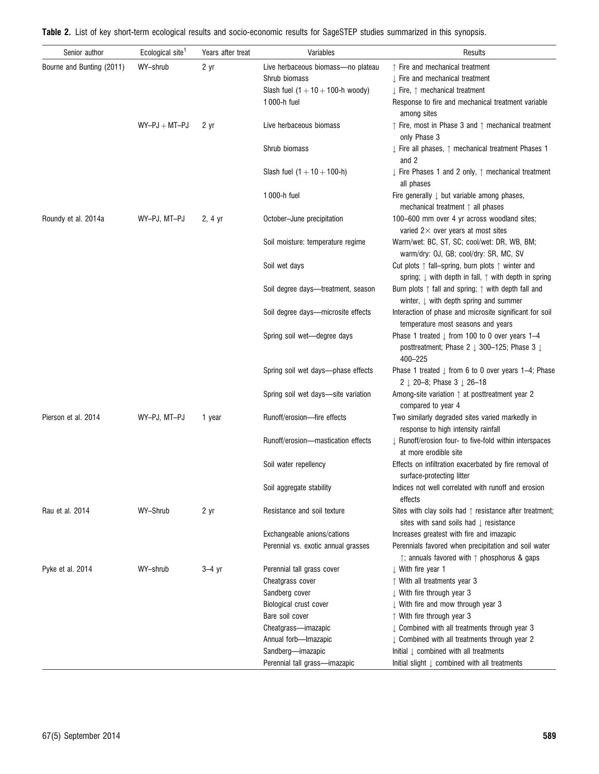| Senior author             | Ecological site <sup>1</sup> | Years after treat | Variables                             | Results                                                                                                                                                                         |
|---------------------------|------------------------------|-------------------|---------------------------------------|---------------------------------------------------------------------------------------------------------------------------------------------------------------------------------|
| Bourne and Bunting (2011) | WY-shrub                     | 2 yr              | Live herbaceous biomass—no plateau    | $\uparrow$ Fire and mechanical treatment                                                                                                                                        |
|                           |                              |                   | Shrub biomass                         | I Fire and mechanical treatment                                                                                                                                                 |
|                           |                              |                   | Slash fuel $(1 + 10 + 100 - h$ woody) | $\downarrow$ Fire, $\uparrow$ mechanical treatment                                                                                                                              |
|                           |                              |                   | 1 000-h fuel                          | Response to fire and mechanical treatment variable<br>among sites                                                                                                               |
|                           | $WY - PJ + MT - PJ$          | 2 yr              | Live herbaceous biomass               | ↑ Fire, most in Phase 3 and ↑ mechanical treatment<br>only Phase 3                                                                                                              |
|                           |                              |                   | Shrub biomass                         | $\downarrow$ Fire all phases, $\uparrow$ mechanical treatment Phases 1<br>and 2                                                                                                 |
|                           |                              |                   | Slash fuel $(1 + 10 + 100 - h)$       | $\downarrow$ Fire Phases 1 and 2 only, $\uparrow$ mechanical treatment<br>all phases                                                                                            |
|                           |                              |                   | 1 000-h fuel                          | Fire generally $\downarrow$ but variable among phases,<br>mechanical treatment $\uparrow$ all phases                                                                            |
| Roundy et al. 2014a       | WY-PJ, MT-PJ                 | 2, 4 yr           | October-June precipitation            | 100-600 mm over 4 yr across woodland sites;<br>varied $2\times$ over years at most sites                                                                                        |
|                           |                              |                   | Soil moisture: temperature regime     | Warm/wet: BC, ST, SC; cool/wet: DR, WB, BM;<br>warm/dry: OJ, GB; cool/dry: SR, MC, SV                                                                                           |
|                           |                              |                   | Soil wet days                         | Cut plots $\uparrow$ fall-spring, burn plots $\uparrow$ winter and<br>spring; $\downarrow$ with depth in fall, $\uparrow$ with depth in spring                                  |
|                           |                              |                   | Soil degree days—treatment, season    | Burn plots $\uparrow$ fall and spring; $\uparrow$ with depth fall and<br>winter, $\downarrow$ with depth spring and summer                                                      |
|                           |                              |                   | Soil degree days—microsite effects    | Interaction of phase and microsite significant for soil                                                                                                                         |
|                           |                              |                   | Spring soil wet-degree days           | temperature most seasons and years<br>Phase 1 treated $\downarrow$ from 100 to 0 over years 1-4<br>posttreatment; Phase 2 $\downarrow$ 300-125; Phase 3 $\downarrow$<br>400-225 |
|                           |                              |                   | Spring soil wet days—phase effects    | Phase 1 treated $\downarrow$ from 6 to 0 over years 1-4; Phase<br>2 $\downarrow$ 20-8; Phase 3 $\downarrow$ 26-18                                                               |
|                           |                              |                   | Spring soil wet days-site variation   | Among-site variation $\uparrow$ at posttreatment year 2<br>compared to year 4                                                                                                   |
| Pierson et al. 2014       | WY-PJ, MT-PJ                 | 1 year            | Runoff/erosion-fire effects           | Two similarly degraded sites varied markedly in<br>response to high intensity rainfall                                                                                          |
|                           |                              |                   | Runoff/erosion-mastication effects    | L Runoff/erosion four- to five-fold within interspaces<br>at more erodible site                                                                                                 |
|                           |                              |                   | Soil water repellency                 | Effects on infiltration exacerbated by fire removal of<br>surface-protecting litter                                                                                             |
|                           |                              |                   | Soil aggregate stability              | Indices not well correlated with runoff and erosion<br>effects                                                                                                                  |
| Rau et al. 2014           | WY–Shrub                     | 2 yr              | Resistance and soil texture           | Sites with clay soils had $\uparrow$ resistance after treatment;<br>sites with sand soils had $\downarrow$ resistance                                                           |
|                           |                              |                   | Exchangeable anions/cations           | Increases greatest with fire and imazapic                                                                                                                                       |
|                           |                              |                   | Perennial vs. exotic annual grasses   | Perennials favored when precipitation and soil water<br>$\uparrow$ ; annuals favored with $\uparrow$ phosphorus & gaps                                                          |
| Pyke et al. 2014          | WY-shrub                     | $3-4$ yr          | Perennial tall grass cover            | U With fire year 1                                                                                                                                                              |
|                           |                              |                   | Cheatgrass cover                      | $\uparrow$ With all treatments year 3                                                                                                                                           |
|                           |                              |                   | Sandberg cover                        | U With fire through year 3                                                                                                                                                      |
|                           |                              |                   | Biological crust cover                | U With fire and mow through year 3                                                                                                                                              |
|                           |                              |                   | Bare soil cover                       | ↑ With fire through year 3                                                                                                                                                      |
|                           |                              |                   | Cheatgrass-imazapic                   | L Combined with all treatments through year 3                                                                                                                                   |
|                           |                              |                   | Annual forb-Imazapic                  | L Combined with all treatments through year 2                                                                                                                                   |
|                           |                              |                   | Sandberg-imazapic                     | Initial $\downarrow$ combined with all treatments                                                                                                                               |
|                           |                              |                   | Perennial tall grass-imazapic         | Initial slight $\downarrow$ combined with all treatments                                                                                                                        |

Table 2. List of key short-term ecological results and socio-economic results for SageSTEP studies summarized in this synopsis.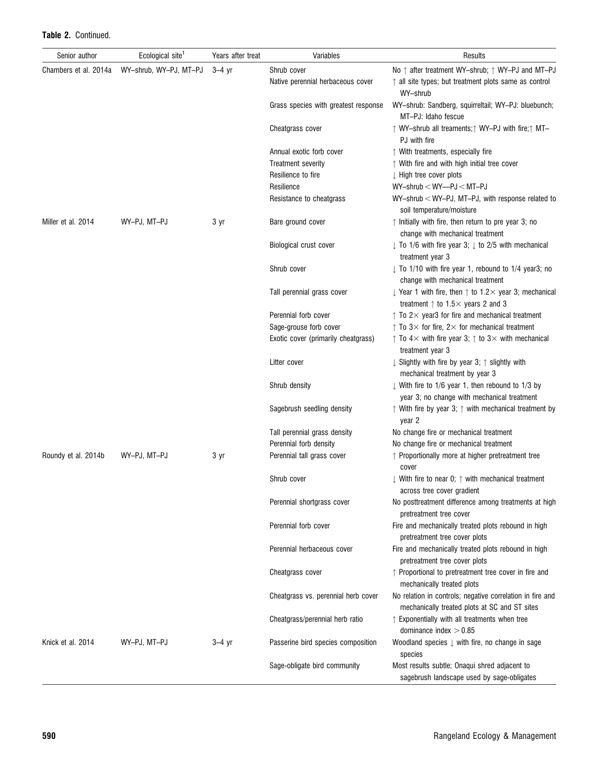| Senior author         | Ecological site <sup>1</sup> | Years after treat | Variables                            | Results                                                                                                                          |
|-----------------------|------------------------------|-------------------|--------------------------------------|----------------------------------------------------------------------------------------------------------------------------------|
| Chambers et al. 2014a | WY-shrub, WY-PJ, MT-PJ       | $3-4$ yr          | Shrub cover                          | No $\uparrow$ after treatment WY-shrub; $\uparrow$ WY-PJ and MT-PJ                                                               |
|                       |                              |                   | Native perennial herbaceous cover    | ↑ all site types; but treatment plots same as control<br>WY-shrub                                                                |
|                       |                              |                   | Grass species with greatest response | WY-shrub: Sandberg, squirreltail; WY-PJ: bluebunch;<br>MT-PJ: Idaho fescue                                                       |
|                       |                              |                   | Cheatgrass cover                     | ↑ WY-shrub all treaments; ↑ WY-PJ with fire; ↑ MT-<br>PJ with fire                                                               |
|                       |                              |                   | Annual exotic forb cover             | ↑ With treatments, especially fire                                                                                               |
|                       |                              |                   | Treatment severity                   | $\uparrow$ With fire and with high initial tree cover                                                                            |
|                       |                              |                   | Resilience to fire                   | I High tree cover plots                                                                                                          |
|                       |                              |                   | Resilience                           | $WY$ -shrub $<$ $WY$ —PJ $<$ $MT$ –PJ                                                                                            |
|                       |                              |                   | Resistance to cheatgrass             | WY-shrub < WY-PJ, MT-PJ, with response related to<br>soil temperature/moisture                                                   |
| Miller et al. 2014    | WY-PJ, MT-PJ                 | 3 yr              | Bare ground cover                    | $\uparrow$ Initially with fire, then return to pre year 3; no<br>change with mechanical treatment                                |
|                       |                              |                   | Biological crust cover               | $\downarrow$ To 1/6 with fire year 3; $\downarrow$ to 2/5 with mechanical<br>treatment year 3                                    |
|                       |                              |                   | Shrub cover                          | ↓ To 1/10 with fire year 1, rebound to 1/4 year3; no<br>change with mechanical treatment                                         |
|                       |                              |                   | Tall perennial grass cover           | $\downarrow$ Year 1 with fire, then $\uparrow$ to 1.2 \ year 3; mechanical<br>treatment $\uparrow$ to 1.5 $\times$ years 2 and 3 |
|                       |                              |                   | Perennial forb cover                 | $\uparrow$ To 2 \ year3 for fire and mechanical treatment                                                                        |
|                       |                              |                   | Sage-grouse forb cover               | $\uparrow$ To 3 \times fire, 2 \times for mechanical treatment                                                                   |
|                       |                              |                   | Exotic cover (primarily cheatgrass)  | $\uparrow$ To 4 \ with fire year 3; $\uparrow$ to 3 \ with mechanical<br>treatment year 3                                        |
|                       |                              |                   | Litter cover                         | $\downarrow$ Slightly with fire by year 3; $\uparrow$ slightly with<br>mechanical treatment by year 3                            |
|                       |                              |                   | Shrub density                        | U With fire to 1/6 year 1, then rebound to 1/3 by<br>year 3; no change with mechanical treatment                                 |
|                       |                              |                   | Sagebrush seedling density           | $\uparrow$ With fire by year 3; $\uparrow$ with mechanical treatment by<br>year 2                                                |
|                       |                              |                   | Tall perennial grass density         | No change fire or mechanical treatment                                                                                           |
|                       |                              |                   | Perennial forb density               | No change fire or mechanical treatment                                                                                           |
| Roundy et al. 2014b   | WY-PJ, MT-PJ                 | 3 yr              | Perennial tall grass cover           | $\uparrow$ Proportionally more at higher pretreatment tree<br>cover                                                              |
|                       |                              |                   | Shrub cover                          | $\perp$ With fire to near 0; $\uparrow$ with mechanical treatment<br>across tree cover gradient                                  |
|                       |                              |                   | Perennial shortgrass cover           | No posttreatment difference among treatments at high<br>pretreatment tree cover                                                  |
|                       |                              |                   | Perennial forb cover                 | Fire and mechanically treated plots rebound in high<br>pretreatment tree cover plots                                             |
|                       |                              |                   | Perennial herbaceous cover           | Fire and mechanically treated plots rebound in high<br>pretreatment tree cover plots                                             |
|                       |                              |                   | Cheatgrass cover                     | ↑ Proportional to pretreatment tree cover in fire and<br>mechanically treated plots                                              |
|                       |                              |                   | Cheatgrass vs. perennial herb cover  | No relation in controls; negative correlation in fire and<br>mechanically treated plots at SC and ST sites                       |
|                       |                              |                   | Cheatgrass/perennial herb ratio      | $\uparrow$ Exponentially with all treatments when tree<br>dominance index $> 0.85$                                               |
| Knick et al. 2014     | WY-PJ, MT-PJ                 | $3-4$ yr          | Passerine bird species composition   | Woodland species $\downarrow$ with fire, no change in sage<br>species                                                            |
|                       |                              |                   | Sage-obligate bird community         | Most results subtle; Onaqui shred adjacent to<br>sagebrush landscape used by sage-obligates                                      |

### Table 2. Continued.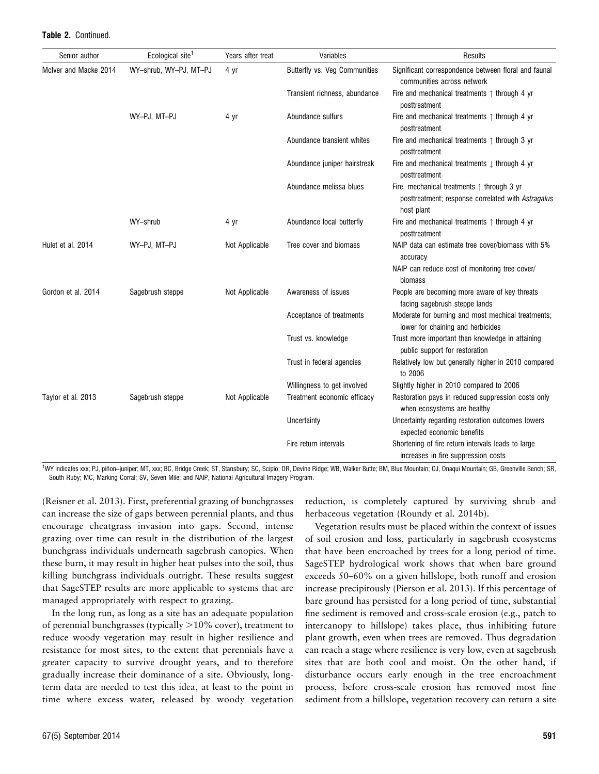| Senior author         | Ecological site <sup>1</sup> | Years after treat | Variables                     | Results                                                                                                                 |
|-----------------------|------------------------------|-------------------|-------------------------------|-------------------------------------------------------------------------------------------------------------------------|
| McIver and Macke 2014 | WY-shrub, WY-PJ, MT-PJ       | 4 yr              | Butterfly vs. Veg Communities | Significant correspondence between floral and faunal<br>communities across network                                      |
|                       |                              |                   | Transient richness, abundance | Fire and mechanical treatments $\uparrow$ through 4 yr<br>posttreatment                                                 |
|                       | WY-PJ, MT-PJ                 | 4 yr              | Abundance sulfurs             | Fire and mechanical treatments $\uparrow$ through 4 yr<br>posttreatment                                                 |
|                       |                              |                   | Abundance transient whites    | Fire and mechanical treatments $\uparrow$ through 3 yr<br>posttreatment                                                 |
|                       |                              |                   | Abundance juniper hairstreak  | Fire and mechanical treatments $\downarrow$ through 4 yr<br>posttreatment                                               |
|                       |                              |                   | Abundance melissa blues       | Fire, mechanical treatments $\uparrow$ through 3 yr<br>posttreatment; response correlated with Astragalus<br>host plant |
|                       | WY-shrub                     | 4 yr              | Abundance local butterfly     | Fire and mechanical treatments $\uparrow$ through 4 yr<br>posttreatment                                                 |
| Hulet et al. 2014     | WY-PJ, MT-PJ                 | Not Applicable    | Tree cover and biomass        | NAIP data can estimate tree cover/biomass with 5%<br>accuracy                                                           |
|                       |                              |                   |                               | NAIP can reduce cost of monitoring tree cover/<br>biomass                                                               |
| Gordon et al. 2014    | Sagebrush steppe             | Not Applicable    | Awareness of issues           | People are becoming more aware of key threats<br>facing sagebrush steppe lands                                          |
|                       |                              |                   | Acceptance of treatments      | Moderate for burning and most mechical treatments;<br>lower for chaining and herbicides                                 |
|                       |                              |                   | Trust vs. knowledge           | Trust more important than knowledge in attaining<br>public support for restoration                                      |
|                       |                              |                   | Trust in federal agencies     | Relatively low but generally higher in 2010 compared<br>to 2006                                                         |
|                       |                              |                   | Willingness to get involved   | Slightly higher in 2010 compared to 2006                                                                                |
| Taylor et al. 2013    | Sagebrush steppe             | Not Applicable    | Treatment economic efficacy   | Restoration pays in reduced suppression costs only<br>when ecosystems are healthy                                       |
|                       |                              |                   | Uncertainty                   | Uncertainty regarding restoration outcomes lowers<br>expected economic benefits                                         |
|                       |                              |                   | Fire return intervals         | Shortening of fire return intervals leads to large<br>increases in fire suppression costs                               |

Table 2. Continued.

1WY indicates xxx; PJ, piñon–juniper; MT, xxx; BC, Bridge Creek; ST, Stansbury; SC, Scipio; DR, Devine Ridge; WB, Walker Butte; BM, Blue Mountain; OJ, Onaqui Mountain; GB, Greenville Bench; SR, South Ruby; MC, Marking Corral; SV, Seven Mile; and NAIP, National Agricultural Imagery Program.

(Reisner et al. 2013). First, preferential grazing of bunchgrasses can increase the size of gaps between perennial plants, and thus encourage cheatgrass invasion into gaps. Second, intense grazing over time can result in the distribution of the largest bunchgrass individuals underneath sagebrush canopies. When these burn, it may result in higher heat pulses into the soil, thus killing bunchgrass individuals outright. These results suggest that SageSTEP results are more applicable to systems that are managed appropriately with respect to grazing.

In the long run, as long as a site has an adequate population of perennial bunchgrasses (typically  $>10\%$  cover), treatment to reduce woody vegetation may result in higher resilience and resistance for most sites, to the extent that perennials have a greater capacity to survive drought years, and to therefore gradually increase their dominance of a site. Obviously, longterm data are needed to test this idea, at least to the point in time where excess water, released by woody vegetation reduction, is completely captured by surviving shrub and herbaceous vegetation (Roundy et al. 2014b).

Vegetation results must be placed within the context of issues of soil erosion and loss, particularly in sagebrush ecosystems that have been encroached by trees for a long period of time. SageSTEP hydrological work shows that when bare ground exceeds 50–60% on a given hillslope, both runoff and erosion increase precipitously (Pierson et al. 2013). If this percentage of bare ground has persisted for a long period of time, substantial fine sediment is removed and cross-scale erosion (e.g., patch to intercanopy to hillslope) takes place, thus inhibiting future plant growth, even when trees are removed. Thus degradation can reach a stage where resilience is very low, even at sagebrush sites that are both cool and moist. On the other hand, if disturbance occurs early enough in the tree encroachment process, before cross-scale erosion has removed most fine sediment from a hillslope, vegetation recovery can return a site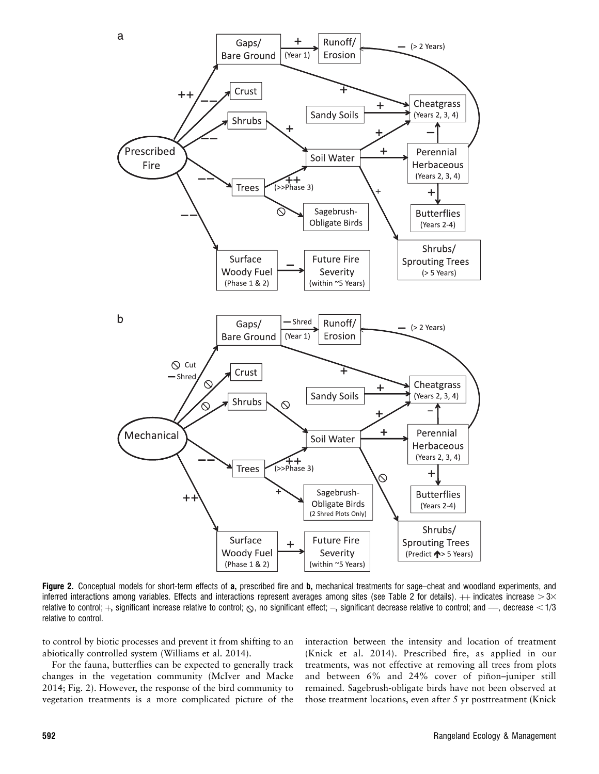

Figure 2. Conceptual models for short-term effects of a, prescribed fire and b, mechanical treatments for sage-cheat and woodland experiments, and inferred interactions among variables. Effects and interactions represent averages among sites (see Table 2 for details).  $+$  indicates increase  $>3\times$ relative to control;  $+$ , significant increase relative to control;  $\odot$ , no significant effect;  $-$ , significant decrease relative to control; and —, decrease  $<$  1/3 relative to control.

to control by biotic processes and prevent it from shifting to an abiotically controlled system (Williams et al. 2014).

For the fauna, butterflies can be expected to generally track changes in the vegetation community (McIver and Macke 2014; Fig. 2). However, the response of the bird community to vegetation treatments is a more complicated picture of the

interaction between the intensity and location of treatment (Knick et al. 2014). Prescribed fire, as applied in our treatments, was not effective at removing all trees from plots and between  $6\%$  and  $24\%$  cover of piñon-juniper still remained. Sagebrush-obligate birds have not been observed at those treatment locations, even after 5 yr posttreatment (Knick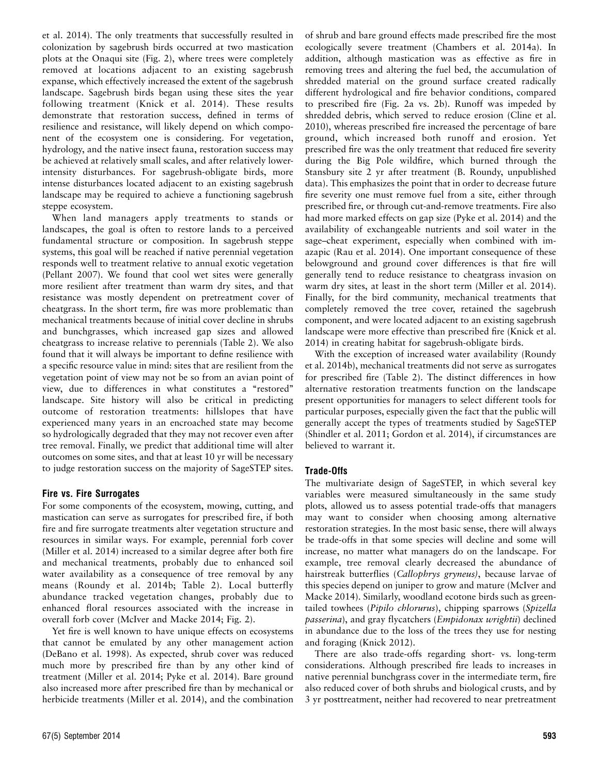et al. 2014). The only treatments that successfully resulted in colonization by sagebrush birds occurred at two mastication plots at the Onaqui site (Fig. 2), where trees were completely removed at locations adjacent to an existing sagebrush expanse, which effectively increased the extent of the sagebrush landscape. Sagebrush birds began using these sites the year following treatment (Knick et al. 2014). These results demonstrate that restoration success, defined in terms of resilience and resistance, will likely depend on which component of the ecosystem one is considering. For vegetation, hydrology, and the native insect fauna, restoration success may be achieved at relatively small scales, and after relatively lowerintensity disturbances. For sagebrush-obligate birds, more intense disturbances located adjacent to an existing sagebrush landscape may be required to achieve a functioning sagebrush steppe ecosystem.

When land managers apply treatments to stands or landscapes, the goal is often to restore lands to a perceived fundamental structure or composition. In sagebrush steppe systems, this goal will be reached if native perennial vegetation responds well to treatment relative to annual exotic vegetation (Pellant 2007). We found that cool wet sites were generally more resilient after treatment than warm dry sites, and that resistance was mostly dependent on pretreatment cover of cheatgrass. In the short term, fire was more problematic than mechanical treatments because of initial cover decline in shrubs and bunchgrasses, which increased gap sizes and allowed cheatgrass to increase relative to perennials (Table 2). We also found that it will always be important to define resilience with a specific resource value in mind: sites that are resilient from the vegetation point of view may not be so from an avian point of view, due to differences in what constitutes a "restored" landscape. Site history will also be critical in predicting outcome of restoration treatments: hillslopes that have experienced many years in an encroached state may become so hydrologically degraded that they may not recover even after tree removal. Finally, we predict that additional time will alter outcomes on some sites, and that at least 10 yr will be necessary to judge restoration success on the majority of SageSTEP sites.

### Fire vs. Fire Surrogates

For some components of the ecosystem, mowing, cutting, and mastication can serve as surrogates for prescribed fire, if both fire and fire surrogate treatments alter vegetation structure and resources in similar ways. For example, perennial forb cover (Miller et al. 2014) increased to a similar degree after both fire and mechanical treatments, probably due to enhanced soil water availability as a consequence of tree removal by any means (Roundy et al. 2014b; Table 2). Local butterfly abundance tracked vegetation changes, probably due to enhanced floral resources associated with the increase in overall forb cover (McIver and Macke 2014; Fig. 2).

Yet fire is well known to have unique effects on ecosystems that cannot be emulated by any other management action (DeBano et al. 1998). As expected, shrub cover was reduced much more by prescribed fire than by any other kind of treatment (Miller et al. 2014; Pyke et al. 2014). Bare ground also increased more after prescribed fire than by mechanical or herbicide treatments (Miller et al. 2014), and the combination

of shrub and bare ground effects made prescribed fire the most ecologically severe treatment (Chambers et al. 2014a). In addition, although mastication was as effective as fire in removing trees and altering the fuel bed, the accumulation of shredded material on the ground surface created radically different hydrological and fire behavior conditions, compared to prescribed fire (Fig. 2a vs. 2b). Runoff was impeded by shredded debris, which served to reduce erosion (Cline et al. 2010), whereas prescribed fire increased the percentage of bare ground, which increased both runoff and erosion. Yet prescribed fire was the only treatment that reduced fire severity during the Big Pole wildfire, which burned through the Stansbury site 2 yr after treatment (B. Roundy, unpublished data). This emphasizes the point that in order to decrease future fire severity one must remove fuel from a site, either through prescribed fire, or through cut-and-remove treatments. Fire also had more marked effects on gap size (Pyke et al. 2014) and the availability of exchangeable nutrients and soil water in the sage–cheat experiment, especially when combined with imazapic (Rau et al. 2014). One important consequence of these belowground and ground cover differences is that fire will generally tend to reduce resistance to cheatgrass invasion on warm dry sites, at least in the short term (Miller et al. 2014). Finally, for the bird community, mechanical treatments that completely removed the tree cover, retained the sagebrush component, and were located adjacent to an existing sagebrush landscape were more effective than prescribed fire (Knick et al. 2014) in creating habitat for sagebrush-obligate birds.

With the exception of increased water availability (Roundy et al. 2014b), mechanical treatments did not serve as surrogates for prescribed fire (Table 2). The distinct differences in how alternative restoration treatments function on the landscape present opportunities for managers to select different tools for particular purposes, especially given the fact that the public will generally accept the types of treatments studied by SageSTEP (Shindler et al. 2011; Gordon et al. 2014), if circumstances are believed to warrant it.

### Trade-Offs

The multivariate design of SageSTEP, in which several key variables were measured simultaneously in the same study plots, allowed us to assess potential trade-offs that managers may want to consider when choosing among alternative restoration strategies. In the most basic sense, there will always be trade-offs in that some species will decline and some will increase, no matter what managers do on the landscape. For example, tree removal clearly decreased the abundance of hairstreak butterflies (Callophrys gryneus), because larvae of this species depend on juniper to grow and mature (McIver and Macke 2014). Similarly, woodland ecotone birds such as greentailed towhees (Pipilo chlorurus), chipping sparrows (Spizella passerina), and gray flycatchers (Empidonax wrightii) declined in abundance due to the loss of the trees they use for nesting and foraging (Knick 2012).

There are also trade-offs regarding short- vs. long-term considerations. Although prescribed fire leads to increases in native perennial bunchgrass cover in the intermediate term, fire also reduced cover of both shrubs and biological crusts, and by 3 yr posttreatment, neither had recovered to near pretreatment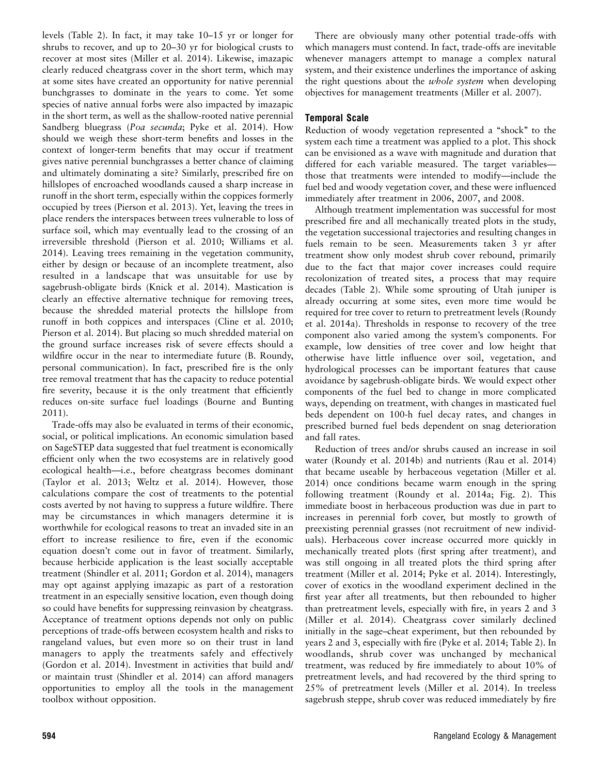levels (Table 2). In fact, it may take 10–15 yr or longer for shrubs to recover, and up to 20–30 yr for biological crusts to recover at most sites (Miller et al. 2014). Likewise, imazapic clearly reduced cheatgrass cover in the short term, which may at some sites have created an opportunity for native perennial bunchgrasses to dominate in the years to come. Yet some species of native annual forbs were also impacted by imazapic in the short term, as well as the shallow-rooted native perennial Sandberg bluegrass (Poa secunda; Pyke et al. 2014). How should we weigh these short-term benefits and losses in the context of longer-term benefits that may occur if treatment gives native perennial bunchgrasses a better chance of claiming and ultimately dominating a site? Similarly, prescribed fire on hillslopes of encroached woodlands caused a sharp increase in runoff in the short term, especially within the coppices formerly occupied by trees (Pierson et al. 2013). Yet, leaving the trees in place renders the interspaces between trees vulnerable to loss of surface soil, which may eventually lead to the crossing of an irreversible threshold (Pierson et al. 2010; Williams et al. 2014). Leaving trees remaining in the vegetation community, either by design or because of an incomplete treatment, also resulted in a landscape that was unsuitable for use by sagebrush-obligate birds (Knick et al. 2014). Mastication is clearly an effective alternative technique for removing trees, because the shredded material protects the hillslope from runoff in both coppices and interspaces (Cline et al. 2010; Pierson et al. 2014). But placing so much shredded material on the ground surface increases risk of severe effects should a wildfire occur in the near to intermediate future (B. Roundy, personal communication). In fact, prescribed fire is the only tree removal treatment that has the capacity to reduce potential fire severity, because it is the only treatment that efficiently reduces on-site surface fuel loadings (Bourne and Bunting 2011).

Trade-offs may also be evaluated in terms of their economic, social, or political implications. An economic simulation based on SageSTEP data suggested that fuel treatment is economically efficient only when the two ecosystems are in relatively good ecological health—i.e., before cheatgrass becomes dominant (Taylor et al. 2013; Weltz et al. 2014). However, those calculations compare the cost of treatments to the potential costs averted by not having to suppress a future wildfire. There may be circumstances in which managers determine it is worthwhile for ecological reasons to treat an invaded site in an effort to increase resilience to fire, even if the economic equation doesn't come out in favor of treatment. Similarly, because herbicide application is the least socially acceptable treatment (Shindler et al. 2011; Gordon et al. 2014), managers may opt against applying imazapic as part of a restoration treatment in an especially sensitive location, even though doing so could have benefits for suppressing reinvasion by cheatgrass. Acceptance of treatment options depends not only on public perceptions of trade-offs between ecosystem health and risks to rangeland values, but even more so on their trust in land managers to apply the treatments safely and effectively (Gordon et al. 2014). Investment in activities that build and/ or maintain trust (Shindler et al. 2014) can afford managers opportunities to employ all the tools in the management toolbox without opposition.

There are obviously many other potential trade-offs with which managers must contend. In fact, trade-offs are inevitable whenever managers attempt to manage a complex natural system, and their existence underlines the importance of asking the right questions about the *whole system* when developing objectives for management treatments (Miller et al. 2007).

# Temporal Scale

Reduction of woody vegetation represented a "shock" to the system each time a treatment was applied to a plot. This shock can be envisioned as a wave with magnitude and duration that differed for each variable measured. The target variablesthose that treatments were intended to modify—include the fuel bed and woody vegetation cover, and these were influenced immediately after treatment in 2006, 2007, and 2008.

Although treatment implementation was successful for most prescribed fire and all mechanically treated plots in the study, the vegetation successional trajectories and resulting changes in fuels remain to be seen. Measurements taken 3 yr after treatment show only modest shrub cover rebound, primarily due to the fact that major cover increases could require recolonization of treated sites, a process that may require decades (Table 2). While some sprouting of Utah juniper is already occurring at some sites, even more time would be required for tree cover to return to pretreatment levels (Roundy et al. 2014a). Thresholds in response to recovery of the tree component also varied among the system's components. For example, low densities of tree cover and low height that otherwise have little influence over soil, vegetation, and hydrological processes can be important features that cause avoidance by sagebrush-obligate birds. We would expect other components of the fuel bed to change in more complicated ways, depending on treatment, with changes in masticated fuel beds dependent on 100-h fuel decay rates, and changes in prescribed burned fuel beds dependent on snag deterioration and fall rates.

Reduction of trees and/or shrubs caused an increase in soil water (Roundy et al. 2014b) and nutrients (Rau et al. 2014) that became useable by herbaceous vegetation (Miller et al. 2014) once conditions became warm enough in the spring following treatment (Roundy et al. 2014a; Fig. 2). This immediate boost in herbaceous production was due in part to increases in perennial forb cover, but mostly to growth of preexisting perennial grasses (not recruitment of new individuals). Herbaceous cover increase occurred more quickly in mechanically treated plots (first spring after treatment), and was still ongoing in all treated plots the third spring after treatment (Miller et al. 2014; Pyke et al. 2014). Interestingly, cover of exotics in the woodland experiment declined in the first year after all treatments, but then rebounded to higher than pretreatment levels, especially with fire, in years 2 and 3 (Miller et al. 2014). Cheatgrass cover similarly declined initially in the sage–cheat experiment, but then rebounded by years 2 and 3, especially with fire (Pyke et al. 2014; Table 2). In woodlands, shrub cover was unchanged by mechanical treatment, was reduced by fire immediately to about 10% of pretreatment levels, and had recovered by the third spring to 25% of pretreatment levels (Miller et al. 2014). In treeless sagebrush steppe, shrub cover was reduced immediately by fire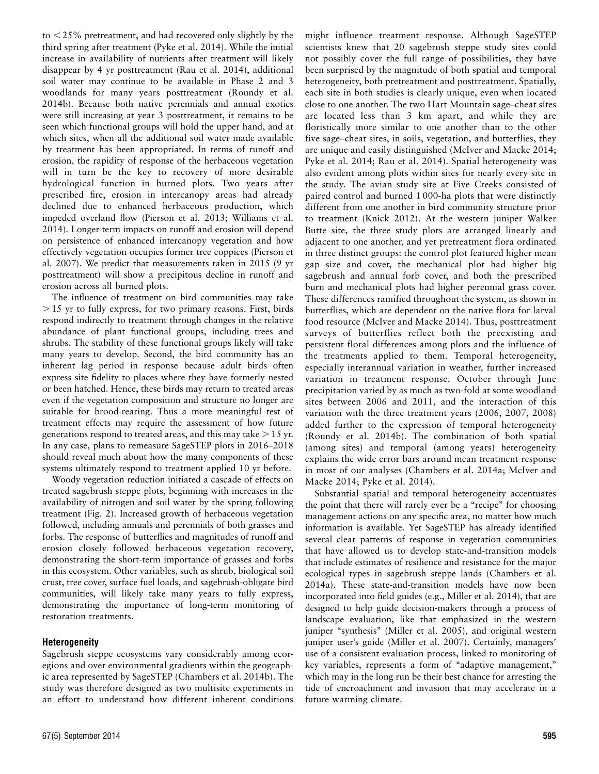$\tau$  to  $\lt 25\%$  pretreatment, and had recovered only slightly by the third spring after treatment (Pyke et al. 2014). While the initial increase in availability of nutrients after treatment will likely disappear by 4 yr posttreatment (Rau et al. 2014), additional soil water may continue to be available in Phase 2 and 3 woodlands for many years posttreatment (Roundy et al. 2014b). Because both native perennials and annual exotics were still increasing at year 3 posttreatment, it remains to be seen which functional groups will hold the upper hand, and at which sites, when all the additional soil water made available by treatment has been appropriated. In terms of runoff and erosion, the rapidity of response of the herbaceous vegetation will in turn be the key to recovery of more desirable hydrological function in burned plots. Two years after prescribed fire, erosion in intercanopy areas had already declined due to enhanced herbaceous production, which impeded overland flow (Pierson et al. 2013; Williams et al. 2014). Longer-term impacts on runoff and erosion will depend on persistence of enhanced intercanopy vegetation and how effectively vegetation occupies former tree coppices (Pierson et al. 2007). We predict that measurements taken in 2015 (9 yr posttreatment) will show a precipitous decline in runoff and erosion across all burned plots.

The influence of treatment on bird communities may take  $>$  15 yr to fully express, for two primary reasons. First, birds respond indirectly to treatment through changes in the relative abundance of plant functional groups, including trees and shrubs. The stability of these functional groups likely will take many years to develop. Second, the bird community has an inherent lag period in response because adult birds often express site fidelity to places where they have formerly nested or been hatched. Hence, these birds may return to treated areas even if the vegetation composition and structure no longer are suitable for brood-rearing. Thus a more meaningful test of treatment effects may require the assessment of how future generations respond to treated areas, and this may take  $> 15$  yr. In any case, plans to remeasure SageSTEP plots in 2016–2018 should reveal much about how the many components of these systems ultimately respond to treatment applied 10 yr before.

Woody vegetation reduction initiated a cascade of effects on treated sagebrush steppe plots, beginning with increases in the availability of nitrogen and soil water by the spring following treatment (Fig. 2). Increased growth of herbaceous vegetation followed, including annuals and perennials of both grasses and forbs. The response of butterflies and magnitudes of runoff and erosion closely followed herbaceous vegetation recovery, demonstrating the short-term importance of grasses and forbs in this ecosystem. Other variables, such as shrub, biological soil crust, tree cover, surface fuel loads, and sagebrush-obligate bird communities, will likely take many years to fully express, demonstrating the importance of long-term monitoring of restoration treatments.

### **Heterogeneity**

Sagebrush steppe ecosystems vary considerably among ecoregions and over environmental gradients within the geographic area represented by SageSTEP (Chambers et al. 2014b). The study was therefore designed as two multisite experiments in an effort to understand how different inherent conditions might influence treatment response. Although SageSTEP scientists knew that 20 sagebrush steppe study sites could not possibly cover the full range of possibilities, they have been surprised by the magnitude of both spatial and temporal heterogeneity, both pretreatment and posttreatment. Spatially, each site in both studies is clearly unique, even when located close to one another. The two Hart Mountain sage–cheat sites are located less than 3 km apart, and while they are floristically more similar to one another than to the other five sage–cheat sites, in soils, vegetation, and butterflies, they are unique and easily distinguished (McIver and Macke 2014; Pyke et al. 2014; Rau et al. 2014). Spatial heterogeneity was also evident among plots within sites for nearly every site in the study. The avian study site at Five Creeks consisted of paired control and burned 1 000-ha plots that were distinctly different from one another in bird community structure prior to treatment (Knick 2012). At the western juniper Walker Butte site, the three study plots are arranged linearly and adjacent to one another, and yet pretreatment flora ordinated in three distinct groups: the control plot featured higher mean gap size and cover, the mechanical plot had higher big sagebrush and annual forb cover, and both the prescribed burn and mechanical plots had higher perennial grass cover. These differences ramified throughout the system, as shown in butterflies, which are dependent on the native flora for larval food resource (McIver and Macke 2014). Thus, posttreatment surveys of butterflies reflect both the preexisting and persistent floral differences among plots and the influence of the treatments applied to them. Temporal heterogeneity, especially interannual variation in weather, further increased variation in treatment response. October through June precipitation varied by as much as two-fold at some woodland sites between 2006 and 2011, and the interaction of this variation with the three treatment years (2006, 2007, 2008) added further to the expression of temporal heterogeneity (Roundy et al. 2014b). The combination of both spatial (among sites) and temporal (among years) heterogeneity explains the wide error bars around mean treatment response in most of our analyses (Chambers et al. 2014a; McIver and Macke 2014; Pyke et al. 2014).

Substantial spatial and temporal heterogeneity accentuates the point that there will rarely ever be a "recipe" for choosing management actions on any specific area, no matter how much information is available. Yet SageSTEP has already identified several clear patterns of response in vegetation communities that have allowed us to develop state-and-transition models that include estimates of resilience and resistance for the major ecological types in sagebrush steppe lands (Chambers et al. 2014a). These state-and-transition models have now been incorporated into field guides (e.g., Miller et al. 2014), that are designed to help guide decision-makers through a process of landscape evaluation, like that emphasized in the western juniper "synthesis" (Miller et al. 2005), and original western juniper user's guide (Miller et al. 2007). Certainly, managers' use of a consistent evaluation process, linked to monitoring of key variables, represents a form of "adaptive management," which may in the long run be their best chance for arresting the tide of encroachment and invasion that may accelerate in a future warming climate.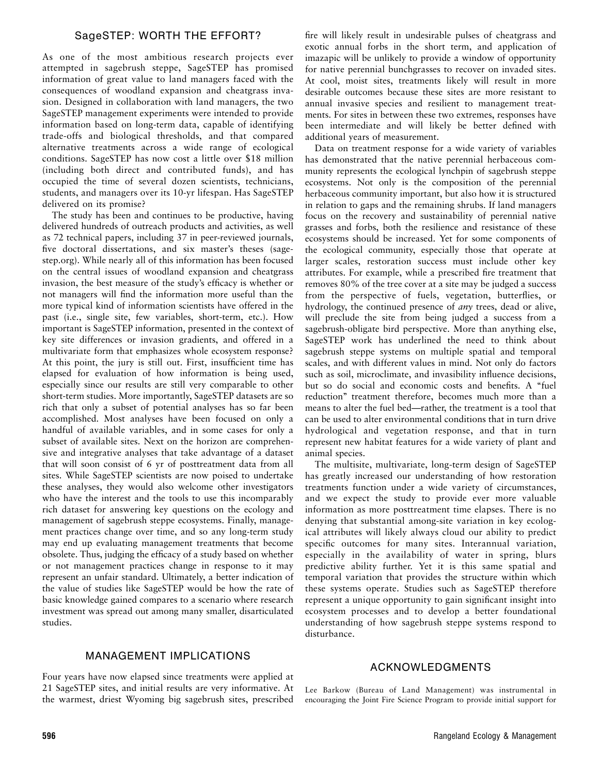### SageSTEP: WORTH THE EFFORT?

As one of the most ambitious research projects ever attempted in sagebrush steppe, SageSTEP has promised information of great value to land managers faced with the consequences of woodland expansion and cheatgrass invasion. Designed in collaboration with land managers, the two SageSTEP management experiments were intended to provide information based on long-term data, capable of identifying trade-offs and biological thresholds, and that compared alternative treatments across a wide range of ecological conditions. SageSTEP has now cost a little over \$18 million (including both direct and contributed funds), and has occupied the time of several dozen scientists, technicians, students, and managers over its 10-yr lifespan. Has SageSTEP delivered on its promise?

The study has been and continues to be productive, having delivered hundreds of outreach products and activities, as well as 72 technical papers, including 37 in peer-reviewed journals, five doctoral dissertations, and six master's theses (sagestep.org). While nearly all of this information has been focused on the central issues of woodland expansion and cheatgrass invasion, the best measure of the study's efficacy is whether or not managers will find the information more useful than the more typical kind of information scientists have offered in the past (i.e., single site, few variables, short-term, etc.). How important is SageSTEP information, presented in the context of key site differences or invasion gradients, and offered in a multivariate form that emphasizes whole ecosystem response? At this point, the jury is still out. First, insufficient time has elapsed for evaluation of how information is being used, especially since our results are still very comparable to other short-term studies. More importantly, SageSTEP datasets are so rich that only a subset of potential analyses has so far been accomplished. Most analyses have been focused on only a handful of available variables, and in some cases for only a subset of available sites. Next on the horizon are comprehensive and integrative analyses that take advantage of a dataset that will soon consist of 6 yr of posttreatment data from all sites. While SageSTEP scientists are now poised to undertake these analyses, they would also welcome other investigators who have the interest and the tools to use this incomparably rich dataset for answering key questions on the ecology and management of sagebrush steppe ecosystems. Finally, management practices change over time, and so any long-term study may end up evaluating management treatments that become obsolete. Thus, judging the efficacy of a study based on whether or not management practices change in response to it may represent an unfair standard. Ultimately, a better indication of the value of studies like SageSTEP would be how the rate of basic knowledge gained compares to a scenario where research investment was spread out among many smaller, disarticulated studies.

fire will likely result in undesirable pulses of cheatgrass and exotic annual forbs in the short term, and application of imazapic will be unlikely to provide a window of opportunity for native perennial bunchgrasses to recover on invaded sites. At cool, moist sites, treatments likely will result in more desirable outcomes because these sites are more resistant to annual invasive species and resilient to management treatments. For sites in between these two extremes, responses have been intermediate and will likely be better defined with additional years of measurement.

Data on treatment response for a wide variety of variables has demonstrated that the native perennial herbaceous community represents the ecological lynchpin of sagebrush steppe ecosystems. Not only is the composition of the perennial herbaceous community important, but also how it is structured in relation to gaps and the remaining shrubs. If land managers focus on the recovery and sustainability of perennial native grasses and forbs, both the resilience and resistance of these ecosystems should be increased. Yet for some components of the ecological community, especially those that operate at larger scales, restoration success must include other key attributes. For example, while a prescribed fire treatment that removes 80% of the tree cover at a site may be judged a success from the perspective of fuels, vegetation, butterflies, or hydrology, the continued presence of *any* trees, dead or alive, will preclude the site from being judged a success from a sagebrush-obligate bird perspective. More than anything else, SageSTEP work has underlined the need to think about sagebrush steppe systems on multiple spatial and temporal scales, and with different values in mind. Not only do factors such as soil, microclimate, and invasibility influence decisions, but so do social and economic costs and benefits. A ''fuel reduction'' treatment therefore, becomes much more than a means to alter the fuel bed—rather, the treatment is a tool that can be used to alter environmental conditions that in turn drive hydrological and vegetation response, and that in turn represent new habitat features for a wide variety of plant and animal species.

The multisite, multivariate, long-term design of SageSTEP has greatly increased our understanding of how restoration treatments function under a wide variety of circumstances, and we expect the study to provide ever more valuable information as more posttreatment time elapses. There is no denying that substantial among-site variation in key ecological attributes will likely always cloud our ability to predict specific outcomes for many sites. Interannual variation, especially in the availability of water in spring, blurs predictive ability further. Yet it is this same spatial and temporal variation that provides the structure within which these systems operate. Studies such as SageSTEP therefore represent a unique opportunity to gain significant insight into ecosystem processes and to develop a better foundational understanding of how sagebrush steppe systems respond to disturbance.

# MANAGEMENT IMPLICATIONS

Four years have now elapsed since treatments were applied at 21 SageSTEP sites, and initial results are very informative. At the warmest, driest Wyoming big sagebrush sites, prescribed

### ACKNOWLEDGMENTS

Lee Barkow (Bureau of Land Management) was instrumental in encouraging the Joint Fire Science Program to provide initial support for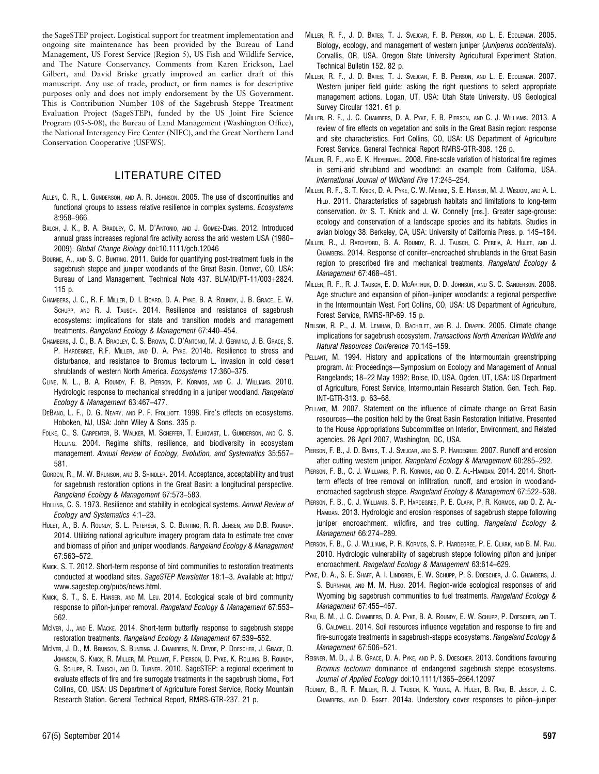the SageSTEP project. Logistical support for treatment implementation and ongoing site maintenance has been provided by the Bureau of Land Management, US Forest Service (Region 5), US Fish and Wildlife Service, and The Nature Conservancy. Comments from Karen Erickson, Lael Gilbert, and David Briske greatly improved an earlier draft of this manuscript. Any use of trade, product, or firm names is for descriptive purposes only and does not imply endorsement by the US Government. This is Contribution Number 108 of the Sagebrush Steppe Treatment Evaluation Project (SageSTEP), funded by the US Joint Fire Science Program (05-S-08), the Bureau of Land Management (Washington Office), the National Interagency Fire Center (NIFC), and the Great Northern Land Conservation Cooperative (USFWS).

# LITERATURE CITED

- ALLEN, C. R., L. GUNDERSON, AND A. R. JOHNSON. 2005. The use of discontinuities and functional groups to assess relative resilience in complex systems. Ecosystems 8:958–966.
- BALCH, J. K., B. A. BRADLEY, C. M. D'ANTONIO, AND J. GOMEZ-DANS. 2012. Introduced annual grass increases regional fire activity across the arid western USA (1980– 2009). Global Change Biology doi:10.1111/gcb.12046
- BOURNE, A., AND S. C. BUNTING. 2011. Guide for quantifying post-treatment fuels in the sagebrush steppe and juniper woodlands of the Great Basin. Denver, CO, USA: Bureau of Land Management. Technical Note 437. BLM/ID/PT-11/003+2824. 115 p.
- CHAMBERS, J. C., R. F. MILLER, D. I. BOARD, D. A. PYKE, B. A. ROUNDY, J. B. GRACE, E. W. SCHUPP, AND R. J. TAUSCH. 2014. Resilience and resistance of sagebrush ecosystems: implications for state and transition models and management treatments. Rangeland Ecology & Management 67:440–454.
- CHAMBERS, J. C., B. A. BRADLEY, C. S. BROWN, C. D'ANTONIO, M. J. GERMINO, J. B. GRACE, S. P. HARDEGREE, R.F. MILLER, AND D. A. PYKE. 2014b. Resilience to stress and disturbance, and resistance to Bromus tectorum L. invasion in cold desert shrublands of western North America. Ecosystems 17:360–375.
- CLINE, N. L., B. A. ROUNDY, F. B. PIERSON, P. KORMOS, AND C. J. WILLIAMS. 2010. Hydrologic response to mechanical shredding in a juniper woodland. Rangeland Ecology & Management 63:467–477.
- DEBANO, L. F., D. G. NEARY, AND P. F. FFOLLIOTT. 1998. Fire's effects on ecosystems. Hoboken, NJ, USA: John Wiley & Sons. 335 p.
- FOLKE, C., S. CARPENTER, B. WALKER, M. SCHEFFER, T. ELMQVIST, L. GUNDERSON, AND C. S. HOLLING. 2004. Regime shifts, resilience, and biodiversity in ecosystem management. Annual Review of Ecology, Evolution, and Systematics 35:557– 581.
- GORDON, R., M. W. BRUNSON, AND B. SHINDLER. 2014. Acceptance, acceptablility and trust for sagebrush restoration options in the Great Basin: a longitudinal perspective. Rangeland Ecology & Management 67:573–583.
- HOLLING, C. S. 1973. Resilience and stability in ecological systems. Annual Review of Ecology and Systematics 4:1–23.
- HULET, A., B. A. ROUNDY, S. L. PETERSEN, S. C. BUNTING, R. R. JENSEN, AND D.B. ROUNDY. 2014. Utilizing national agriculture imagery program data to estimate tree cover and biomass of piñon and juniper woodlands. Rangeland Ecology & Management 67:563–572.
- KNICK, S. T. 2012. Short-term response of bird communities to restoration treatments conducted at woodland sites. SageSTEP Newsletter 18:1–3. Available at: http:// www.sagestep.org/pubs/news.html.
- KNICK, S. T., S. E. HANSER, AND M. LEU. 2014. Ecological scale of bird community response to piñon-juniper removal. Rangeland Ecology & Management 67:553-562.
- MCIVER, J., AND E. MACKE. 2014. Short-term butterfly response to sagebrush steppe restoration treatments. Rangeland Ecology & Management 67:539–552.
- MCIVER, J. D., M. BRUNSON, S. BUNTING, J. CHAMBERS, N. DEVOE, P. DOESCHER, J. GRACE, D. JOHNSON, S. KNICK, R. MILLER, M. PELLANT, F. PIERSON, D. PYKE, K. ROLLINS, B. ROUNDY, G. SCHUPP, R. TAUSCH, AND D. TURNER. 2010. SageSTEP: a regional experiment to evaluate effects of fire and fire surrogate treatments in the sagebrush biome., Fort Collins, CO, USA: US Department of Agriculture Forest Service, Rocky Mountain Research Station. General Technical Report, RMRS-GTR-237. 21 p.
- MILLER, R. F., J. D. BATES, T. J. SVEJCAR, F. B. PIERSON, AND L. E. EDDLEMAN. 2005. Biology, ecology, and management of western juniper (Juniperus occidentalis). Corvallis, OR, USA. Oregon State University Agricultural Experiment Station. Technical Bulletin 152. 82 p.
- MILLER, R. F., J. D. BATES, T. J. SVEJCAR, F. B. PIERSON, AND L. E. EDDLEMAN. 2007. Western juniper field guide: asking the right questions to select appropriate management actions. Logan, UT, USA: Utah State University. US Geological Survey Circular 1321. 61 p.
- MILLER, R. F., J. C. CHAMBERS, D. A. PYKE, F. B. PIERSON, AND C. J. WILLIAMS. 2013. A review of fire effects on vegetation and soils in the Great Basin region: response and site characteristics. Fort Collins, CO, USA: US Department of Agriculture Forest Service. General Technical Report RMRS-GTR-308. 126 p.
- MILLER, R. F., AND E. K. HEYERDAHL. 2008. Fine-scale variation of historical fire regimes in semi-arid shrubland and woodland: an example from California, USA. International Journal of Wildland Fire 17:245–254.
- MILLER, R. F., S. T. KNICK, D. A. PYKE, C. W. MEINKE, S. E. HANSER, M. J. WISDOM, AND A. L. HILD. 2011. Characteristics of sagebrush habitats and limitations to long-term conservation. In: S. T. Knick and J. W. Connelly [EDS.]. Greater sage-grouse: ecology and conservation of a landscape species and its habitats. Studies in avian biology 38. Berkeley, CA, USA: University of California Press. p. 145–184.
- MILLER, R., J. RATCHFORD, B. A. ROUNDY, R. J. TAUSCH, C. PEREIA, A. HULET, AND J. CHAMBERS. 2014. Response of conifer–encroached shrublands in the Great Basin region to prescribed fire and mechanical treatments. Rangeland Ecology & Management 67:468–481.
- MILLER, R. F., R. J. TAUSCH, E. D. MCARTHUR, D. D. JOHNSON, AND S. C. SANDERSON. 2008. Age structure and expansion of piñon-juniper woodlands: a regional perspective in the Intermountain West. Fort Collins, CO, USA: US Department of Agriculture, Forest Service, RMRS-RP-69. 15 p.
- NEILSON, R. P., J. M. LENIHAN, D. BACHELET, AND R. J. DRAPEK. 2005. Climate change implications for sagebrush ecosystem. Transactions North American Wildlife and Natural Resources Conference 70:145–159.
- PELLANT, M. 1994. History and applications of the Intermountain greenstripping program. In: Proceedings—Symposium on Ecology and Management of Annual Rangelands; 18–22 May 1992; Boise, ID, USA. Ogden, UT, USA: US Department of Agriculture, Forest Service, Intermountain Research Station. Gen. Tech. Rep. INT-GTR-313. p. 63–68.
- PELLANT, M. 2007. Statement on the influence of climate change on Great Basin resources—the position held by the Great Basin Restoration Initiative. Presented to the House Appropriations Subcommittee on Interior, Environment, and Related agencies. 26 April 2007, Washington, DC, USA.
- PIERSON, F. B., J. D. BATES, T. J. SVEJCAR, AND S. P. HARDEGREE. 2007. Runoff and erosion after cutting western juniper. Rangeland Ecology & Management 60:285–292.
- PIERSON, F. B., C. J. WILLIAMS, P. R. KORMOS, AND O. Z. AL-HAMDAN. 2014. 2014. Shortterm effects of tree removal on infiltration, runoff, and erosion in woodlandencroached sagebrush steppe. Rangeland Ecology & Management 67:522–538.
- PIERSON, F. B., C. J. WILLIAMS, S. P. HARDEGREE, P. E. CLARK, P. R. KORMOS, AND O. Z. AL-HAMDAN. 2013. Hydrologic and erosion responses of sagebrush steppe following juniper encroachment, wildfire, and tree cutting. Rangeland Ecology & Management 66:274–289.
- PIERSON, F. B., C. J. WILLIAMS, P. R. KORMOS, S. P. HARDEGREE, P. E. CLARK, AND B. M. RAU. 2010. Hydrologic vulnerability of sagebrush steppe following piñon and juniper encroachment. Rangeland Ecology & Management 63:614–629.
- PYKE, D. A., S. E. SHAFF, A. I. LINDGREN, E. W. SCHUPP, P. S. DOESCHER, J. C. CHAMBERS, J. S. BURNHAM, AND M. M. HUSO. 2014. Region-wide ecological responses of arid Wyoming big sagebrush communities to fuel treatments. Rangeland Ecology & Management 67:455–467.
- RAU, B. M., J. C. CHAMBERS, D. A. PYKE, B. A. ROUNDY, E. W. SCHUPP, P. DOESCHER, AND T. G. CALDWELL. 2014. Soil resources influence vegetation and response to fire and fire-surrogate treatments in sagebrush-steppe ecosystems. Rangeland Ecology & Management 67:506–521.
- REISNER, M. D., J. B. GRACE, D. A. PYKE, AND P. S. DOESCHER. 2013. Conditions favouring Bromus tectorum dominance of endangered sagebrush steppe ecosystems. Journal of Applied Ecology doi:10.1111/1365–2664.12097
- ROUNDY, B., R. F. MILLER, R. J. TAUSCH, K. YOUNG, A. HULET, B. RAU, B. JESSOP, J. C. CHAMBERS, AND D. EGGET. 2014a. Understory cover responses to piñon-juniper